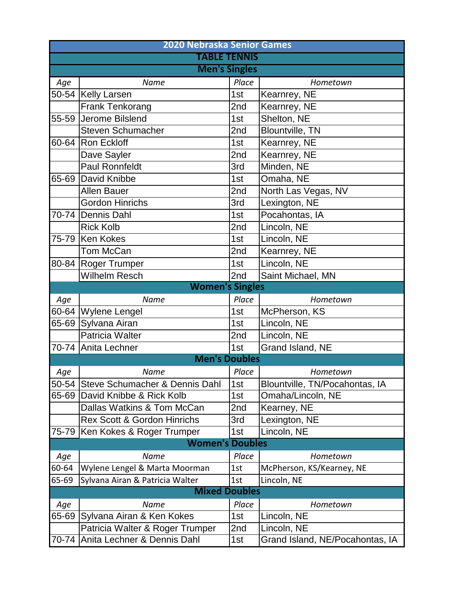|       | <b>2020 Nebraska Senior Games</b>      |       |                                 |  |  |  |  |
|-------|----------------------------------------|-------|---------------------------------|--|--|--|--|
|       | <b>TABLE TENNIS</b>                    |       |                                 |  |  |  |  |
|       | <b>Men's Singles</b>                   |       |                                 |  |  |  |  |
| Age   | Name                                   | Place | Hometown                        |  |  |  |  |
|       | 50-54 Kelly Larsen                     | 1st   | Kearnrey, NE                    |  |  |  |  |
|       | <b>Frank Tenkorang</b>                 | 2nd   | Kearnrey, NE                    |  |  |  |  |
|       | 55-59 Jerome Bilslend                  | 1st   | Shelton, NE                     |  |  |  |  |
|       | <b>Steven Schumacher</b>               | 2nd   | <b>Blountville, TN</b>          |  |  |  |  |
|       | 60-64 Ron Eckloff                      | 1st   | Kearnrey, NE                    |  |  |  |  |
|       | Dave Sayler                            | 2nd   | Kearnrey, NE                    |  |  |  |  |
|       | <b>Paul Ronnfeldt</b>                  | 3rd   | Minden, NE                      |  |  |  |  |
|       | 65-69 David Knibbe                     | 1st   | Omaha, NE                       |  |  |  |  |
|       | <b>Allen Bauer</b>                     | 2nd   | North Las Vegas, NV             |  |  |  |  |
|       | <b>Gordon Hinrichs</b>                 | 3rd   | Lexington, NE                   |  |  |  |  |
|       | 70-74 Dennis Dahl                      | 1st   | Pocahontas, IA                  |  |  |  |  |
|       | <b>Rick Kolb</b>                       | 2nd   | Lincoln, NE                     |  |  |  |  |
|       | 75-79 Ken Kokes                        | 1st   | Lincoln, NE                     |  |  |  |  |
|       | Tom McCan                              | 2nd   | Kearnrey, NE                    |  |  |  |  |
|       | 80-84 Roger Trumper                    | 1st   | Lincoln, NE                     |  |  |  |  |
|       | <b>Wilhelm Resch</b>                   | 2nd   | Saint Michael, MN               |  |  |  |  |
|       | <b>Women's Singles</b>                 |       |                                 |  |  |  |  |
| Age   | Name                                   | Place | Hometown                        |  |  |  |  |
|       | 60-64 Wylene Lengel                    | 1st   | McPherson, KS                   |  |  |  |  |
|       | 65-69 Sylvana Airan                    | 1st   | Lincoln, NE                     |  |  |  |  |
|       | Patricia Walter                        | 2nd   | Lincoln, NE                     |  |  |  |  |
|       | 70-74 Anita Lechner                    | 1st   | Grand Island, NE                |  |  |  |  |
|       | <b>Men's Doubles</b>                   |       |                                 |  |  |  |  |
| Age   | Name                                   | Place | Hometown                        |  |  |  |  |
| 50-54 | Steve Schumacher & Dennis Dahl         | 1st   | Blountville, TN/Pocahontas, IA  |  |  |  |  |
| 65-69 | David Knibbe & Rick Kolb               | 1st   | Omaha/Lincoln, NE               |  |  |  |  |
|       | Dallas Watkins & Tom McCan             | 2nd   | Kearney, NE                     |  |  |  |  |
|       | <b>Rex Scott &amp; Gordon Hinrichs</b> | 3rd   | Lexington, NE                   |  |  |  |  |
| 75-79 | Ken Kokes & Roger Trumper              | 1st   | Lincoln, NE                     |  |  |  |  |
|       | <b>Women's Doubles</b>                 |       |                                 |  |  |  |  |
| Age   | Name                                   | Place | Hometown                        |  |  |  |  |
| 60-64 | Wylene Lengel & Marta Moorman          | 1st   | McPherson, KS/Kearney, NE       |  |  |  |  |
| 65-69 | Sylvana Airan & Patricia Walter        | 1st   | Lincoln, NE                     |  |  |  |  |
|       | <b>Mixed Doubles</b>                   |       |                                 |  |  |  |  |
| Age   | <b>Name</b>                            | Place | Hometown                        |  |  |  |  |
| 65-69 | Sylvana Airan & Ken Kokes              | 1st   | Lincoln, NE                     |  |  |  |  |
|       | Patricia Walter & Roger Trumper        | 2nd   | Lincoln, NE                     |  |  |  |  |
| 70-74 | Anita Lechner & Dennis Dahl            | 1st   | Grand Island, NE/Pocahontas, IA |  |  |  |  |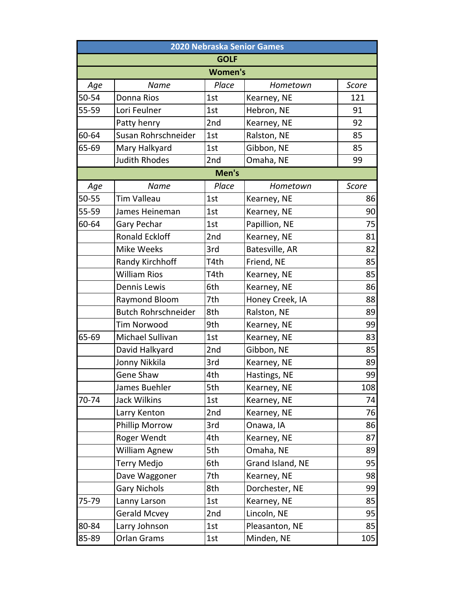| 2020 Nebraska Senior Games |                            |                |                  |       |  |  |
|----------------------------|----------------------------|----------------|------------------|-------|--|--|
| <b>GOLF</b>                |                            |                |                  |       |  |  |
|                            |                            | <b>Women's</b> |                  |       |  |  |
| Age                        | <b>Name</b>                | Place          | Hometown         | Score |  |  |
| 50-54                      | Donna Rios                 | 1st            | Kearney, NE      | 121   |  |  |
| 55-59                      | Lori Feulner               | 1st            | Hebron, NE       | 91    |  |  |
|                            | Patty henry                | 2nd            | Kearney, NE      | 92    |  |  |
| 60-64                      | Susan Rohrschneider        | 1st            | Ralston, NE      | 85    |  |  |
| 65-69                      | Mary Halkyard              | 1st            | Gibbon, NE       | 85    |  |  |
|                            | <b>Judith Rhodes</b>       | 2nd            | Omaha, NE        | 99    |  |  |
|                            |                            | Men's          |                  |       |  |  |
| Age                        | <b>Name</b>                | Place          | Hometown         | Score |  |  |
| 50-55                      | <b>Tim Valleau</b>         | 1st            | Kearney, NE      | 86    |  |  |
| 55-59                      | James Heineman             | 1st            | Kearney, NE      | 90    |  |  |
| 60-64                      | Gary Pechar                | 1st            | Papillion, NE    | 75    |  |  |
|                            | <b>Ronald Eckloff</b>      | 2nd            | Kearney, NE      | 81    |  |  |
|                            | <b>Mike Weeks</b>          | 3rd            | Batesville, AR   | 82    |  |  |
|                            | Randy Kirchhoff            | T4th           | Friend, NE       | 85    |  |  |
|                            | <b>William Rios</b>        | T4th           | Kearney, NE      | 85    |  |  |
|                            | <b>Dennis Lewis</b>        | 6th            | Kearney, NE      | 86    |  |  |
|                            | Raymond Bloom              | 7th            | Honey Creek, IA  | 88    |  |  |
|                            | <b>Butch Rohrschneider</b> | 8th            | Ralston, NE      | 89    |  |  |
|                            | <b>Tim Norwood</b>         | 9th            | Kearney, NE      | 99    |  |  |
| 65-69                      | Michael Sullivan           | 1st            | Kearney, NE      | 83    |  |  |
|                            | David Halkyard             | 2nd            | Gibbon, NE       | 85    |  |  |
|                            | Jonny Nikkila              | 3rd            | Kearney, NE      | 89    |  |  |
|                            | Gene Shaw                  | 4th            | Hastings, NE     | 99    |  |  |
|                            | James Buehler              | 5th            | Kearney, NE      | 108   |  |  |
| 70-74                      | <b>Jack Wilkins</b>        | 1st            | Kearney, NE      | 74    |  |  |
|                            | Larry Kenton               | 2nd            | Kearney, NE      | 76    |  |  |
|                            | <b>Phillip Morrow</b>      | 3rd            | Onawa, IA        | 86    |  |  |
|                            | Roger Wendt                | 4th            | Kearney, NE      | 87    |  |  |
|                            | William Agnew              | 5th            | Omaha, NE        | 89    |  |  |
|                            | <b>Terry Medjo</b>         | 6th            | Grand Island, NE | 95    |  |  |
|                            | Dave Waggoner              | 7th            | Kearney, NE      | 98    |  |  |
|                            | <b>Gary Nichols</b>        | 8th            | Dorchester, NE   | 99    |  |  |
| 75-79                      | Lanny Larson               | 1st            | Kearney, NE      | 85    |  |  |
|                            | <b>Gerald Mcvey</b>        | 2nd            | Lincoln, NE      | 95    |  |  |
| 80-84                      | Larry Johnson              | 1st            | Pleasanton, NE   | 85    |  |  |
| 85-89                      | Orlan Grams                | 1st            | Minden, NE       | 105   |  |  |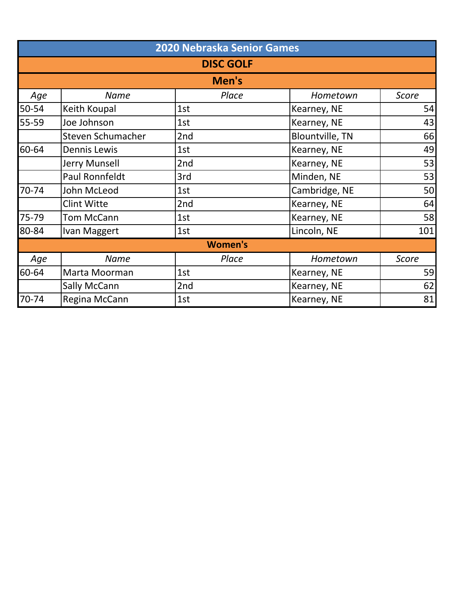|       | 2020 Nebraska Senior Games |                |                        |              |  |  |  |
|-------|----------------------------|----------------|------------------------|--------------|--|--|--|
|       | <b>DISC GOLF</b>           |                |                        |              |  |  |  |
|       | Men's                      |                |                        |              |  |  |  |
| Age   | <b>Name</b>                | Place          | Hometown               | <b>Score</b> |  |  |  |
| 50-54 | Keith Koupal               | 1st            | Kearney, NE            | 54           |  |  |  |
| 55-59 | Joe Johnson                | 1st            | Kearney, NE            | 43           |  |  |  |
|       | <b>Steven Schumacher</b>   | 2nd            | <b>Blountville, TN</b> | 66           |  |  |  |
| 60-64 | <b>Dennis Lewis</b>        | 1st            | Kearney, NE            | 49           |  |  |  |
|       | Jerry Munsell              | 2nd            | Kearney, NE            | 53           |  |  |  |
|       | Paul Ronnfeldt             | 3rd            | Minden, NE             | 53           |  |  |  |
| 70-74 | John McLeod                | 1st            | Cambridge, NE          | 50           |  |  |  |
|       | <b>Clint Witte</b>         | 2nd            | Kearney, NE            | 64           |  |  |  |
| 75-79 | <b>Tom McCann</b>          | 1st            | Kearney, NE            | 58           |  |  |  |
| 80-84 | Ivan Maggert               | 1st            | Lincoln, NE            | 101          |  |  |  |
|       |                            | <b>Women's</b> |                        |              |  |  |  |
| Age   | <b>Name</b>                | Place          | Hometown               | <b>Score</b> |  |  |  |
| 60-64 | Marta Moorman              | 1st            | Kearney, NE            | 59           |  |  |  |
|       | Sally McCann               | 2nd            | Kearney, NE            | 62           |  |  |  |
| 70-74 | Regina McCann              | 1st            | Kearney, NE            | 81           |  |  |  |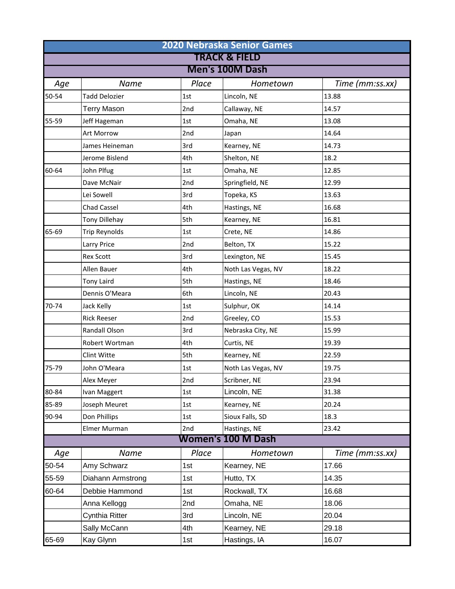| <b>2020 Nebraska Senior Games</b><br><b>TRACK &amp; FIELD</b> |                      |       |                           |                 |  |                 |
|---------------------------------------------------------------|----------------------|-------|---------------------------|-----------------|--|-----------------|
|                                                               |                      |       |                           |                 |  | Men's 100M Dash |
| Age                                                           | <b>Name</b>          | Place | Hometown                  | Time (mm:ss.xx) |  |                 |
| 50-54                                                         | <b>Tadd Delozier</b> | 1st   | Lincoln, NE               | 13.88           |  |                 |
|                                                               | <b>Terry Mason</b>   | 2nd   | Callaway, NE              | 14.57           |  |                 |
| 55-59                                                         | Jeff Hageman         | 1st   | Omaha, NE                 | 13.08           |  |                 |
|                                                               | Art Morrow           | 2nd   | Japan                     | 14.64           |  |                 |
|                                                               | James Heineman       | 3rd   | Kearney, NE               | 14.73           |  |                 |
|                                                               | Jerome Bislend       | 4th   | Shelton, NE               | 18.2            |  |                 |
| 60-64                                                         | John Plfug           | 1st   | Omaha, NE                 | 12.85           |  |                 |
|                                                               | Dave McNair          | 2nd   | Springfield, NE           | 12.99           |  |                 |
|                                                               | Lei Sowell           | 3rd   | Topeka, KS                | 13.63           |  |                 |
|                                                               | <b>Chad Cassel</b>   | 4th   | Hastings, NE              | 16.68           |  |                 |
|                                                               | Tony Dillehay        | 5th   | Kearney, NE               | 16.81           |  |                 |
| 65-69                                                         | Trip Reynolds        | 1st   | Crete, NE                 | 14.86           |  |                 |
|                                                               | Larry Price          | 2nd   | Belton, TX                | 15.22           |  |                 |
|                                                               | <b>Rex Scott</b>     | 3rd   | Lexington, NE             | 15.45           |  |                 |
|                                                               | Allen Bauer          | 4th   | Noth Las Vegas, NV        | 18.22           |  |                 |
|                                                               | <b>Tony Laird</b>    | 5th   | Hastings, NE              | 18.46           |  |                 |
|                                                               | Dennis O'Meara       | 6th   | Lincoln, NE               | 20.43           |  |                 |
| 70-74                                                         | Jack Kelly           | 1st   | Sulphur, OK               | 14.14           |  |                 |
|                                                               | <b>Rick Reeser</b>   | 2nd   | Greeley, CO               | 15.53           |  |                 |
|                                                               | Randall Olson        | 3rd   | Nebraska City, NE         | 15.99           |  |                 |
|                                                               | Robert Wortman       | 4th   | Curtis, NE                | 19.39           |  |                 |
|                                                               | Clint Witte          | 5th   | Kearney, NE               | 22.59           |  |                 |
| 75-79                                                         | John O'Meara         | 1st   | Noth Las Vegas, NV        | 19.75           |  |                 |
|                                                               | Alex Meyer           | 2nd   | Scribner, NE              | 23.94           |  |                 |
| 80-84                                                         | Ivan Maggert         | 1st   | Lincoln, NE               | 31.38           |  |                 |
| 85-89                                                         | Joseph Meuret        | 1st   | Kearney, NE               | 20.24           |  |                 |
| 90-94                                                         | Don Phillips         | 1st   | Sioux Falls, SD           | 18.3            |  |                 |
|                                                               | Elmer Murman         | 2nd   | Hastings, NE              | 23.42           |  |                 |
|                                                               |                      |       | <b>Women's 100 M Dash</b> |                 |  |                 |
| Age                                                           | Name                 | Place | Hometown                  | Time (mm:ss.xx) |  |                 |
| 50-54                                                         | Amy Schwarz          | 1st   | Kearney, NE               | 17.66           |  |                 |
| 55-59                                                         | Diahann Armstrong    | 1st   | Hutto, TX                 | 14.35           |  |                 |
| 60-64                                                         | Debbie Hammond       | 1st   | Rockwall, TX              | 16.68           |  |                 |
|                                                               | Anna Kellogg         | 2nd   | Omaha, NE                 | 18.06           |  |                 |
|                                                               | Cynthia Ritter       | 3rd   | Lincoln, NE               | 20.04           |  |                 |
|                                                               | Sally McCann         | 4th   | Kearney, NE               | 29.18           |  |                 |
| 65-69                                                         | Kay Glynn            | 1st   | Hastings, IA              | 16.07           |  |                 |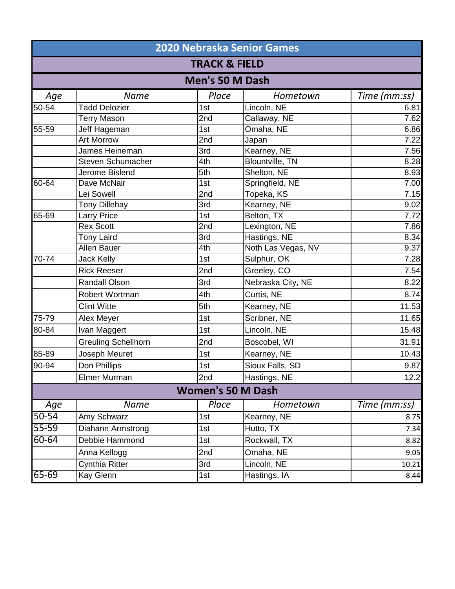|           | <b>2020 Nebraska Senior Games</b> |                          |                        |                   |  |  |
|-----------|-----------------------------------|--------------------------|------------------------|-------------------|--|--|
|           | <b>TRACK &amp; FIELD</b>          |                          |                        |                   |  |  |
|           | <b>Men's 50 M Dash</b>            |                          |                        |                   |  |  |
| Age       | <b>Name</b>                       | Place                    | Hometown               | Time (mm:ss)      |  |  |
| 50-54     | <b>Tadd Delozier</b>              | 1st                      | Lincoln, NE            | 6.81              |  |  |
|           | <b>Terry Mason</b>                | 2nd                      | Callaway, NE           | 7.62              |  |  |
| 55-59     | Jeff Hageman                      | 1st                      | Omaha, NE              | 6.86              |  |  |
|           | <b>Art Morrow</b>                 | 2nd                      | Japan                  | $\overline{7.22}$ |  |  |
|           | James Heineman                    | 3rd                      | Kearney, NE            | 7.56              |  |  |
|           | <b>Steven Schumacher</b>          | 4th                      | <b>Blountville, TN</b> | 8.28              |  |  |
|           | Jerome Bislend                    | 5th                      | Shelton, NE            | 8.93              |  |  |
| $60 - 64$ | Dave McNair                       | 1st                      | Springfield, NE        | 7.00              |  |  |
|           | Lei Sowell                        | 2nd                      | Topeka, KS             | 7.15              |  |  |
|           | <b>Tony Dillehay</b>              | 3rd                      | Kearney, NE            | 9.02              |  |  |
| $65 - 69$ | <b>Larry Price</b>                | 1st                      | Belton, TX             | 7.72              |  |  |
|           | <b>Rex Scott</b>                  | 2nd                      | Lexington, NE          | 7.86              |  |  |
|           | <b>Tony Laird</b>                 | 3rd                      | Hastings, NE           | 8.34              |  |  |
|           | <b>Allen Bauer</b>                | 4th                      | Noth Las Vegas, NV     | 9.37              |  |  |
| 70-74     | <b>Jack Kelly</b>                 | 1st                      | Sulphur, OK            | 7.28              |  |  |
|           | <b>Rick Reeser</b>                | 2nd                      | Greeley, CO            | 7.54              |  |  |
|           | Randall Olson                     | 3rd                      | Nebraska City, NE      | 8.22              |  |  |
|           | Robert Wortman                    | 4th                      | Curtis, NE             | 8.74              |  |  |
|           | <b>Clint Witte</b>                | 5th                      | Kearney, NE            | 11.53             |  |  |
| 75-79     | Alex Meyer                        | 1st                      | Scribner, NE           | 11.65             |  |  |
| 80-84     | Ivan Maggert                      | 1st                      | Lincoln, NE            | 15.48             |  |  |
|           | <b>Greuling Schellhorn</b>        | 2nd                      | Boscobel, WI           | 31.91             |  |  |
| 85-89     | Joseph Meuret                     | 1st                      | Kearney, NE            | 10.43             |  |  |
| 90-94     | Don Phillips                      | 1st                      | Sioux Falls, SD        | 9.87              |  |  |
|           | Elmer Murman                      | 2nd                      | Hastings, NE           | 12.2              |  |  |
|           |                                   | <b>Women's 50 M Dash</b> |                        |                   |  |  |
| Age       | <b>Name</b>                       | Place                    | Hometown               | Time (mm:ss)      |  |  |
| 50-54     | Amy Schwarz                       | 1st                      | Kearney, NE            | 8.75              |  |  |
| 55-59     | Diahann Armstrong                 | 1st                      | Hutto, TX              | 7.34              |  |  |
| 60-64     | Debbie Hammond                    | 1st                      | Rockwall, TX           | 8.82              |  |  |
|           | Anna Kellogg                      | 2nd                      | Omaha, NE              | 9.05              |  |  |
|           | Cynthia Ritter                    | 3rd                      | Lincoln, NE            | 10.21             |  |  |
| $65 - 69$ | Kay Glenn                         | 1st                      | Hastings, IA           | 8.44              |  |  |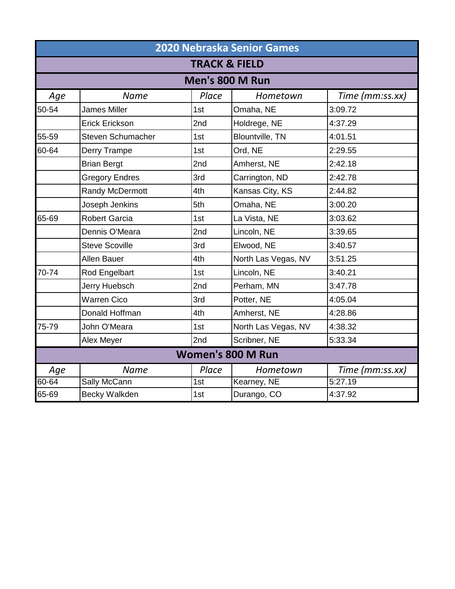|           | <b>2020 Nebraska Senior Games</b> |                 |                        |                 |  |  |
|-----------|-----------------------------------|-----------------|------------------------|-----------------|--|--|
|           | <b>TRACK &amp; FIELD</b>          |                 |                        |                 |  |  |
|           |                                   | Men's 800 M Run |                        |                 |  |  |
| Age       | <b>Name</b>                       | Place           | Hometown               | Time (mm:ss.xx) |  |  |
| 50-54     | <b>James Miller</b>               | 1st             | Omaha, NE              | 3:09.72         |  |  |
|           | <b>Erick Erickson</b>             | 2nd             | Holdrege, NE           | 4:37.29         |  |  |
| 55-59     | Steven Schumacher                 | 1st             | <b>Blountville, TN</b> | 4:01.51         |  |  |
| 60-64     | Derry Trampe                      | 1st             | Ord, NE                | 2:29.55         |  |  |
|           | <b>Brian Bergt</b>                | 2nd             | Amherst, NE            | 2:42.18         |  |  |
|           | <b>Gregory Endres</b>             | 3rd             | Carrington, ND         | 2:42.78         |  |  |
|           | Randy McDermott                   | 4th             | Kansas City, KS        | 2:44.82         |  |  |
|           | Joseph Jenkins                    | 5th             | Omaha, NE              | 3:00.20         |  |  |
| 65-69     | <b>Robert Garcia</b>              | 1st             | La Vista, NE           | 3:03.62         |  |  |
|           | Dennis O'Meara                    | 2nd             | Lincoln, NE            | 3:39.65         |  |  |
|           | <b>Steve Scoville</b>             | 3rd             | Elwood, NE             | 3:40.57         |  |  |
|           | Allen Bauer                       | 4th             | North Las Vegas, NV    | 3:51.25         |  |  |
| 70-74     | Rod Engelbart                     | 1st             | Lincoln, NE            | 3:40.21         |  |  |
|           | Jerry Huebsch                     | 2nd             | Perham, MN             | 3:47.78         |  |  |
|           | <b>Warren Cico</b>                | 3rd             | Potter, NE             | 4:05.04         |  |  |
|           | Donald Hoffman                    | 4th             | Amherst, NE            | 4:28.86         |  |  |
| 75-79     | John O'Meara                      | 1st             | North Las Vegas, NV    | 4:38.32         |  |  |
|           | Alex Meyer                        | 2nd             | Scribner, NE           | 5:33.34         |  |  |
|           | <b>Women's 800 M Run</b>          |                 |                        |                 |  |  |
| Age       | <b>Name</b>                       | Place           | Hometown               | Time (mm:ss.xx) |  |  |
| $60 - 64$ | Sally McCann                      | 1st             | Kearney, NE            | 5:27.19         |  |  |
| 65-69     | Becky Walkden                     | 1st             | Durango, CO            | 4:37.92         |  |  |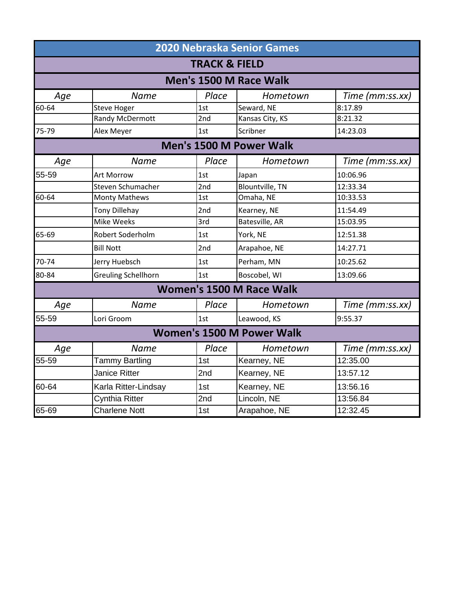|       | <b>2020 Nebraska Senior Games</b> |       |                                  |                 |  |  |
|-------|-----------------------------------|-------|----------------------------------|-----------------|--|--|
|       | <b>TRACK &amp; FIELD</b>          |       |                                  |                 |  |  |
|       | Men's 1500 M Race Walk            |       |                                  |                 |  |  |
| Age   | <b>Name</b>                       | Place | Hometown                         | Time (mm:ss.xx) |  |  |
| 60-64 | <b>Steve Hoger</b>                | 1st   | Seward, NE                       | 8:17.89         |  |  |
|       | Randy McDermott                   | 2nd   | Kansas City, KS                  | 8:21.32         |  |  |
| 75-79 | Alex Meyer                        | 1st   | Scribner                         | 14:23.03        |  |  |
|       |                                   |       | Men's 1500 M Power Walk          |                 |  |  |
| Age   | <b>Name</b>                       | Place | Hometown                         | Time (mm:ss.xx) |  |  |
| 55-59 | Art Morrow                        | 1st   | Japan                            | 10:06.96        |  |  |
|       | Steven Schumacher                 | 2nd   | <b>Blountville, TN</b>           | 12:33.34        |  |  |
| 60-64 | <b>Monty Mathews</b>              | 1st   | Omaha, NE                        | 10:33.53        |  |  |
|       | <b>Tony Dillehay</b>              | 2nd   | Kearney, NE                      | 11:54.49        |  |  |
|       | <b>Mike Weeks</b>                 | 3rd   | Batesville, AR                   | 15:03.95        |  |  |
| 65-69 | Robert Soderholm                  | 1st   | York, NE                         | 12:51.38        |  |  |
|       | <b>Bill Nott</b>                  | 2nd   | Arapahoe, NE                     | 14:27.71        |  |  |
| 70-74 | Jerry Huebsch                     | 1st   | Perham, MN                       | 10:25.62        |  |  |
| 80-84 | <b>Greuling Schellhorn</b>        | 1st   | Boscobel, WI                     | 13:09.66        |  |  |
|       |                                   |       | Women's 1500 M Race Walk         |                 |  |  |
| Age   | <b>Name</b>                       | Place | Hometown                         | Time (mm:ss.xx) |  |  |
| 55-59 | Lori Groom                        | 1st   | Leawood, KS                      | 9:55.37         |  |  |
|       |                                   |       | <b>Women's 1500 M Power Walk</b> |                 |  |  |
| Age   | <b>Name</b>                       | Place | Hometown                         | Time (mm:ss.xx) |  |  |
| 55-59 | Tammy Bartling                    | 1st   | Kearney, NE                      | 12:35.00        |  |  |
|       | Janice Ritter                     | 2nd   | Kearney, NE                      | 13:57.12        |  |  |
| 60-64 | Karla Ritter-Lindsay              | 1st   | Kearney, NE                      | 13:56.16        |  |  |
|       | Cynthia Ritter                    | 2nd   | Lincoln, NE                      | 13:56.84        |  |  |
| 65-69 | <b>Charlene Nott</b>              | 1st   | Arapahoe, NE                     | 12:32.45        |  |  |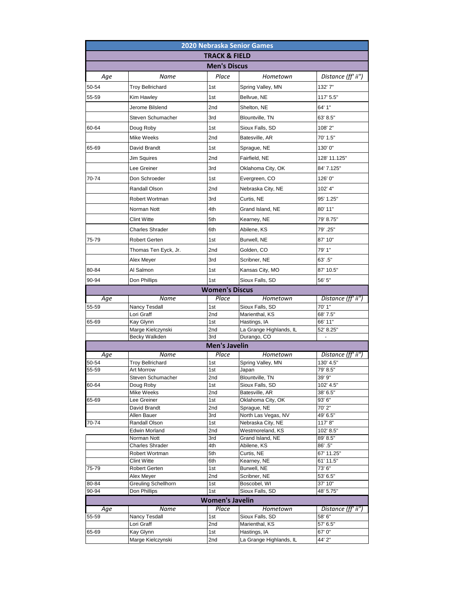|                       |                                 |                          | <b>2020 Nebraska Senior Games</b>        |                     |  |  |
|-----------------------|---------------------------------|--------------------------|------------------------------------------|---------------------|--|--|
|                       |                                 | <b>TRACK &amp; FIELD</b> |                                          |                     |  |  |
|                       | <b>Men's Discus</b>             |                          |                                          |                     |  |  |
| Age                   | Name                            | Place                    | Hometown                                 | Distance (ff' ii")  |  |  |
| 50-54                 | <b>Troy Bellrichard</b>         | 1st                      | Spring Valley, MN                        | 132'7"              |  |  |
|                       |                                 |                          |                                          |                     |  |  |
| 55-59                 | Kim Hawley                      | 1st                      | Bellvue, NE                              | 117' 5.5"           |  |  |
|                       | Jerome Bilslend                 | 2nd                      | Shelton, NE                              | 64' 1"              |  |  |
|                       | Steven Schumacher               | 3rd                      | Blountville, TN                          | 63' 8.5"            |  |  |
| 60-64                 | Doug Roby                       | 1st                      | Sioux Falls, SD                          | 108'2"              |  |  |
|                       | <b>Mike Weeks</b>               | 2nd                      | Batesville, AR                           | 70' 1.5"            |  |  |
| 65-69                 | David Brandt                    | 1st                      | Sprague, NE                              | 130'0"              |  |  |
|                       | Jim Squires                     | 2nd                      | Fairfield, NE                            | 128' 11.125"        |  |  |
|                       | Lee Greiner                     | 3rd                      | Oklahoma City, OK                        | 84' 7.125"          |  |  |
| 70-74                 | Don Schroeder                   | 1st                      | Evergreen, CO                            | 126'0"              |  |  |
|                       |                                 |                          |                                          |                     |  |  |
|                       | Randall Olson                   | 2nd                      | Nebraska City, NE                        | 102' 4"             |  |  |
|                       | Robert Wortman                  | 3rd                      | Curtis, NE                               | 95' 1.25"           |  |  |
|                       | Norman Nott                     | 4th                      | Grand Island, NE                         | 80' 11"             |  |  |
|                       | <b>Clint Witte</b>              | 5th                      | Kearney, NE                              | 79' 8.75"           |  |  |
|                       | <b>Charles Shrader</b>          | 6th                      | Abilene, KS                              | 79' .25"            |  |  |
| 75-79                 | <b>Robert Gerten</b>            | 1st                      | Burwell, NE                              | 87' 10"             |  |  |
|                       | Thomas Ten Eyck, Jr.            | 2nd                      | Golden, CO                               | 79' 1"              |  |  |
|                       | Alex Meyer                      | 3rd                      | Scribner, NE                             | 63' .5"             |  |  |
|                       | Al Salmon                       | 1st                      |                                          |                     |  |  |
| 80-84                 |                                 |                          | Kansas City, MO                          | 87' 10.5"           |  |  |
| 90-94                 | Don Phillips                    | 1st                      | Sioux Falls, SD                          | 56' 5"              |  |  |
| <b>Women's Discus</b> |                                 |                          |                                          |                     |  |  |
|                       |                                 |                          |                                          |                     |  |  |
| Age                   | Name                            | Place                    | Hometown                                 | Distance (ff' ii")  |  |  |
| 55-59                 | Nancy Tesdall                   | 1st                      | Sioux Falls, SD                          | 70' 1"              |  |  |
| 65-69                 | Lori Graff<br>Kay Glynn         | 2nd<br>1st               | Marienthal, KS<br>Hastings, IA           | 68' 7.5"<br>66' 11" |  |  |
|                       | Marge Kielczynski               | 2nd                      | La Grange Highlands, IL                  | 52' 8.25"           |  |  |
|                       | Becky Walkden                   | 3rd                      | Durango, CO                              | -                   |  |  |
|                       |                                 | <b>Men's Javelin</b>     |                                          |                     |  |  |
| Age                   | Name                            | Place                    | Hometown                                 | Distance (ff' ii")  |  |  |
| 50-54                 | Troy Bellrichard                | 1st                      | Spring Valley, MN                        | 130' 4.5"           |  |  |
| 55-59                 | Art Morrow<br>Steven Schumacher | 1st<br>2nd               | Japan<br>Blountville, TN                 | 79' 8.5"<br>39' 9"  |  |  |
| 60-64                 | Doug Roby                       | 1st                      | Sioux Falls, SD                          | 102' 4.5"           |  |  |
|                       | Mike Weeks                      | 2nd                      | Batesville, AR                           | 38' 6.5"            |  |  |
| 65-69                 | Lee Greiner                     | 1st                      | Oklahoma City, OK                        | 93' 6"              |  |  |
|                       | David Brandt                    | 2nd                      | Sprague, NE                              | 70'2"               |  |  |
| 70-74                 | Allen Bauer<br>Randall Olson    | 3rd<br>1st               | North Las Vegas, NV<br>Nebraska City, NE | 49' 6.5"<br>117'8"  |  |  |
|                       | <b>Edwin Morland</b>            | 2nd                      | Westmoreland, KS                         | 102' 8.5"           |  |  |
|                       | Norman Nott                     | 3rd                      | Grand Island, NE                         | 89' 8.5"            |  |  |
|                       | <b>Charles Shrader</b>          | 4th                      | Abilene, KS                              | 86' .5"             |  |  |
|                       | Robert Wortman                  | 5th                      | Curtis, NE                               | 67' 11.25"          |  |  |
| 75-79                 | Clint Witte                     | 6th<br>1st               | Kearney, NE                              | 61' 11.5"<br>73' 6" |  |  |
|                       | Robert Gerten<br>Alex Meyer     | 2nd                      | Burwell, NE<br>Scribner, NE              | 53' 6.5"            |  |  |
| 80-84                 | <b>Greuling Schellhorn</b>      | 1st                      | Boscobel, WI                             | 37' 10"             |  |  |
| 90-94                 | Don Phillips                    | 1st                      | Sioux Falls, SD                          | 48' 5.75"           |  |  |
|                       |                                 | <b>Women's Javelin</b>   |                                          |                     |  |  |
| Age                   | Name                            | Place                    | Hometown                                 | Distance (ff' ii")  |  |  |
| 55-59                 | Nancy Tesdall                   | 1st                      | Sioux Falls, SD                          | 58' 6"              |  |  |
| 65-69                 | Lori Graff<br>Kay Glynn         | 2nd<br>1st               | Marienthal, KS<br>Hastings, IA           | 57' 6.5"<br>67' 0"  |  |  |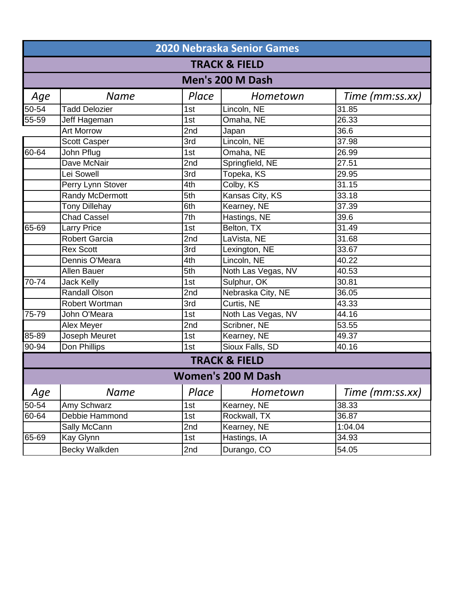|                  | 2020 Nebraska Senior Games |       |                           |                 |  |  |
|------------------|----------------------------|-------|---------------------------|-----------------|--|--|
|                  | <b>TRACK &amp; FIELD</b>   |       |                           |                 |  |  |
| Men's 200 M Dash |                            |       |                           |                 |  |  |
| Age              | <b>Name</b>                | Place | Hometown                  | Time (mm:ss.xx) |  |  |
| $50 - 54$        | <b>Tadd Delozier</b>       | 1st   | Lincoln, NE               | 31.85           |  |  |
| $55 - 59$        | Jeff Hageman               | 1st   | Omaha, NE                 | 26.33           |  |  |
|                  | <b>Art Morrow</b>          | 2nd   | Japan                     | 36.6            |  |  |
|                  | <b>Scott Casper</b>        | 3rd   | Lincoln, NE               | 37.98           |  |  |
| 60-64            | John Pflug                 | 1st   | Omaha, NE                 | 26.99           |  |  |
|                  | Dave McNair                | 2nd   | Springfield, NE           | 27.51           |  |  |
|                  | Lei Sowell                 | 3rd   | Topeka, KS                | 29.95           |  |  |
|                  | Perry Lynn Stover          | 4th   | Colby, KS                 | 31.15           |  |  |
|                  | <b>Randy McDermott</b>     | 5th   | Kansas City, KS           | 33.18           |  |  |
|                  | <b>Tony Dillehay</b>       | 6th   | Kearney, NE               | 37.39           |  |  |
|                  | <b>Chad Cassel</b>         | 7th   | Hastings, NE              | 39.6            |  |  |
| $65 - 69$        | <b>Larry Price</b>         | 1st   | Belton, TX                | 31.49           |  |  |
|                  | <b>Robert Garcia</b>       | 2nd   | LaVista, NE               | 31.68           |  |  |
|                  | <b>Rex Scott</b>           | 3rd   | Lexington, NE             | 33.67           |  |  |
|                  | Dennis O'Meara             | 4th   | Lincoln, NE               | 40.22           |  |  |
|                  | <b>Allen Bauer</b>         | 5th   | Noth Las Vegas, NV        | 40.53           |  |  |
| $70-74$          | <b>Jack Kelly</b>          | 1st   | Sulphur, OK               | 30.81           |  |  |
|                  | <b>Randall Olson</b>       | 2nd   | Nebraska City, NE         | 36.05           |  |  |
|                  | Robert Wortman             | 3rd   | Curtis, NE                | 43.33           |  |  |
| 75-79            | John O'Meara               | 1st   | Noth Las Vegas, NV        | 44.16           |  |  |
|                  | Alex Meyer                 | 2nd   | Scribner, NE              | 53.55           |  |  |
| 85-89            | Joseph Meuret              | 1st   | Kearney, NE               | 49.37           |  |  |
| 90-94            | Don Phillips               | 1st   | Sioux Falls, SD           | 40.16           |  |  |
|                  |                            |       | <b>TRACK &amp; FIELD</b>  |                 |  |  |
|                  |                            |       | <b>Women's 200 M Dash</b> |                 |  |  |
| Age              | Name                       | Place | Hometown                  | Time (mm:ss.xx) |  |  |
| $50 - 54$        | Amy Schwarz                | 1st   | Kearney, NE               | 38.33           |  |  |
| 60-64            | Debbie Hammond             | 1st   | Rockwall, TX              | 36.87           |  |  |
|                  | Sally McCann               | 2nd   | Kearney, NE               | 1:04.04         |  |  |
| 65-69            | Kay Glynn                  | 1st   | Hastings, IA              | 34.93           |  |  |
|                  | Becky Walkden              | 2nd   | Durango, CO               | 54.05           |  |  |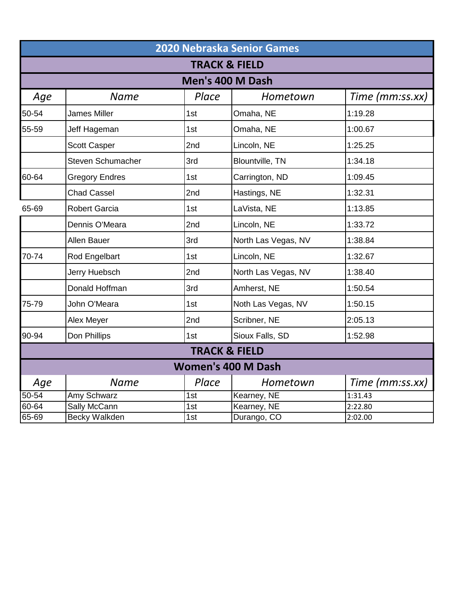|                  | 2020 Nebraska Senior Games |                          |                        |                 |  |  |
|------------------|----------------------------|--------------------------|------------------------|-----------------|--|--|
|                  | <b>TRACK &amp; FIELD</b>   |                          |                        |                 |  |  |
| Men's 400 M Dash |                            |                          |                        |                 |  |  |
| Age              | <b>Name</b>                | Place                    | Hometown               | Time (mm:ss.xx) |  |  |
| 50-54            | <b>James Miller</b>        | 1st                      | Omaha, NE              | 1:19.28         |  |  |
| 55-59            | Jeff Hageman               | 1st                      | Omaha, NE              | 1:00.67         |  |  |
|                  | <b>Scott Casper</b>        | 2nd                      | Lincoln, NE            | 1:25.25         |  |  |
|                  | <b>Steven Schumacher</b>   | 3rd                      | <b>Blountville, TN</b> | 1:34.18         |  |  |
| 60-64            | <b>Gregory Endres</b>      | 1st                      | Carrington, ND         | 1:09.45         |  |  |
|                  | <b>Chad Cassel</b>         | 2nd                      | Hastings, NE           | 1:32.31         |  |  |
| 65-69            | <b>Robert Garcia</b>       | 1st                      | LaVista, NE            | 1:13.85         |  |  |
|                  | Dennis O'Meara             | 2nd                      | Lincoln, NE            | 1:33.72         |  |  |
|                  | Allen Bauer                | 3rd                      | North Las Vegas, NV    | 1:38.84         |  |  |
| 70-74            | Rod Engelbart              | 1st                      | Lincoln, NE            | 1:32.67         |  |  |
|                  | Jerry Huebsch              | 2nd                      | North Las Vegas, NV    | 1:38.40         |  |  |
|                  | Donald Hoffman             | 3rd                      | Amherst, NE            | 1:50.54         |  |  |
| 75-79            | John O'Meara               | 1st                      | Noth Las Vegas, NV     | 1:50.15         |  |  |
|                  | Alex Meyer                 | 2nd                      | Scribner, NE           | 2:05.13         |  |  |
| 90-94            | Don Phillips               | 1st                      | Sioux Falls, SD        | 1:52.98         |  |  |
|                  |                            | <b>TRACK &amp; FIELD</b> |                        |                 |  |  |
|                  | <b>Women's 400 M Dash</b>  |                          |                        |                 |  |  |
| Age              | <b>Name</b>                | Place                    | Hometown               | Time (mm:ss.xx) |  |  |
| $50 - 54$        | Amy Schwarz                | 1st                      | Kearney, NE            | 1:31.43         |  |  |
| 60-64            | Sally McCann               | 1st                      | Kearney, NE            | 2:22.80         |  |  |
| 65-69            | <b>Becky Walkden</b>       | 1st                      | Durango, CO            | 2:02.00         |  |  |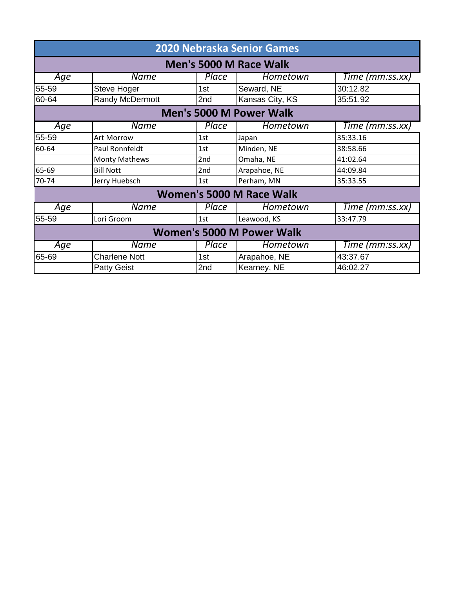| <b>2020 Nebraska Senior Games</b> |                      |                 |                          |                 |  |
|-----------------------------------|----------------------|-----------------|--------------------------|-----------------|--|
| <b>Men's 5000 M Race Walk</b>     |                      |                 |                          |                 |  |
| Age                               | <b>Name</b>          | Place           | Hometown                 | Time (mm:ss.xx) |  |
| 55-59                             | <b>Steve Hoger</b>   | 1st             | Seward, NE               | 30:12.82        |  |
| 60-64                             | Randy McDermott      | 2nd             | Kansas City, KS          | 35:51.92        |  |
|                                   |                      |                 | Men's 5000 M Power Walk  |                 |  |
| Age                               | <b>Name</b>          | Place           | Hometown                 | Time (mm:ss.xx) |  |
| 55-59                             | Art Morrow           | 1st             | Japan                    | 35:33.16        |  |
| 60-64                             | Paul Ronnfeldt       | 1st             | Minden, NE               | 38:58.66        |  |
|                                   | <b>Monty Mathews</b> | 2 <sub>nd</sub> | Omaha, NE                | 41:02.64        |  |
| 65-69                             | <b>Bill Nott</b>     | 2nd             | Arapahoe, NE             | 44:09.84        |  |
| 70-74                             | Jerry Huebsch        | 1st             | Perham, MN               | 35:33.55        |  |
|                                   |                      |                 | Women's 5000 M Race Walk |                 |  |
| Age                               | <b>Name</b>          | Place           | Hometown                 | Time (mm:ss.xx) |  |
| 55-59                             | Lori Groom           | 1st             | Leawood, KS              | 33:47.79        |  |
| <b>Women's 5000 M Power Walk</b>  |                      |                 |                          |                 |  |
| Age                               | <b>Name</b>          | Place           | Hometown                 | Time (mm:ss.xx) |  |
| 65-69                             | <b>Charlene Nott</b> | 1st             | Arapahoe, NE             | 43:37.67        |  |
|                                   | <b>Patty Geist</b>   | 2nd             | Kearney, NE              | 46:02.27        |  |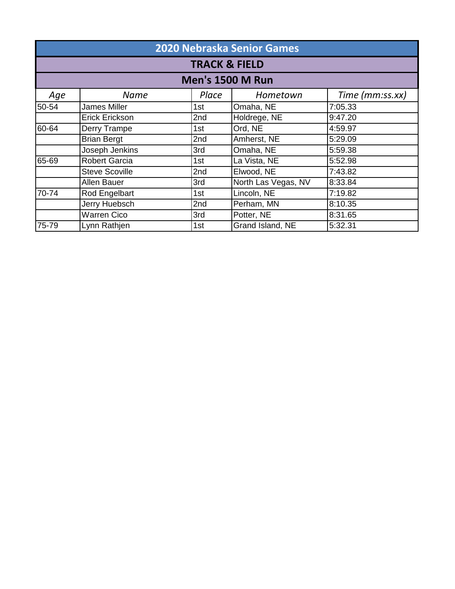| <b>2020 Nebraska Senior Games</b> |                          |       |                         |                 |  |  |
|-----------------------------------|--------------------------|-------|-------------------------|-----------------|--|--|
|                                   | <b>TRACK &amp; FIELD</b> |       |                         |                 |  |  |
|                                   |                          |       | <b>Men's 1500 M Run</b> |                 |  |  |
| Age                               | <b>Name</b>              | Place | Hometown                | Time (mm:ss.xx) |  |  |
| 50-54                             | <b>James Miller</b>      | 1st   | Omaha, NE               | 7:05.33         |  |  |
|                                   | Erick Erickson           | 2nd   | Holdrege, NE            | 9:47.20         |  |  |
| 60-64                             | Derry Trampe             | 1st   | Ord, NE                 | 4:59.97         |  |  |
|                                   | <b>Brian Bergt</b>       | 2nd   | Amherst, NE             | 5:29.09         |  |  |
|                                   | Joseph Jenkins           | 3rd   | Omaha, NE               | 5:59.38         |  |  |
| 65-69                             | <b>Robert Garcia</b>     | 1st   | La Vista, NE            | 5:52.98         |  |  |
|                                   | <b>Steve Scoville</b>    | 2nd   | Elwood, NE              | 7:43.82         |  |  |
|                                   | Allen Bauer              | 3rd   | North Las Vegas, NV     | 8:33.84         |  |  |
| 70-74                             | Rod Engelbart            | 1st   | Lincoln, NE             | 7:19.82         |  |  |
|                                   | Jerry Huebsch            | 2nd   | Perham, MN              | 8:10.35         |  |  |
|                                   | <b>Warren Cico</b>       | 3rd   | Potter, NE              | 8:31.65         |  |  |
| 75-79                             | Lynn Rathjen             | 1st   | Grand Island, NE        | 5:32.31         |  |  |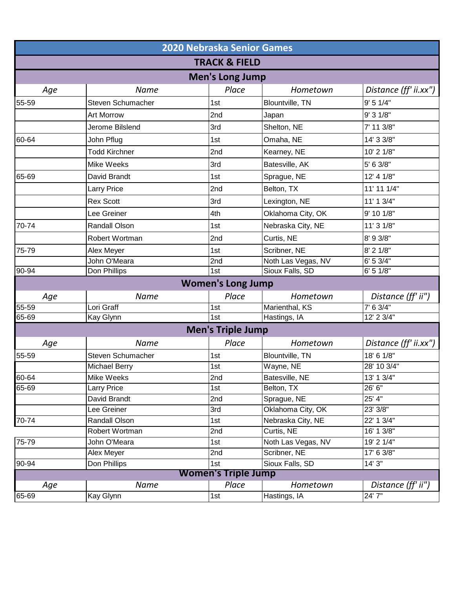| <b>2020 Nebraska Senior Games</b> |                      |                            |                    |                       |  |
|-----------------------------------|----------------------|----------------------------|--------------------|-----------------------|--|
|                                   |                      | <b>TRACK &amp; FIELD</b>   |                    |                       |  |
|                                   |                      | <b>Men's Long Jump</b>     |                    |                       |  |
| Age                               | Name                 | Place                      | Hometown           | Distance (ff' ii.xx") |  |
| 55-59                             | Steven Schumacher    | 1st                        | Blountville, TN    | 9' 5 1/4"             |  |
|                                   | <b>Art Morrow</b>    | 2nd                        | Japan              | 9' 3 1/8"             |  |
|                                   | Jerome Bilslend      | 3rd                        | Shelton, NE        | 7' 11 3/8"            |  |
| 60-64                             | John Pflug           | 1st                        | Omaha, NE          | 14' 3 3/8"            |  |
|                                   | <b>Todd Kirchner</b> | 2nd                        | Kearney, NE        | 10' 2 1/8"            |  |
|                                   | Mike Weeks           | 3rd                        | Batesville, AK     | 5' 6 3/8"             |  |
| 65-69                             | David Brandt         | 1st                        | Sprague, NE        | 12' 4 1/8"            |  |
|                                   | Larry Price          | 2nd                        | Belton, TX         | 11' 11 1/4"           |  |
|                                   | <b>Rex Scott</b>     | 3rd                        | Lexington, NE      | 11' 1 3/4"            |  |
|                                   | Lee Greiner          | 4th                        | Oklahoma City, OK  | 9' 10 1/8"            |  |
| 70-74                             | Randall Olson        | 1st                        | Nebraska City, NE  | 11' 3 1/8"            |  |
|                                   | Robert Wortman       | 2nd                        | Curtis, NE         | 8' 9 3/8"             |  |
| 75-79                             | Alex Meyer           | 1st                        | Scribner, NE       | 8' 2 1/8"             |  |
|                                   | John O'Meara         | 2nd                        | Noth Las Vegas, NV | 6' 5 3/4"             |  |
| 90-94                             | Don Phillips         | 1st                        | Sioux Falls, SD    | 6' 5 1/8"             |  |
|                                   |                      | <b>Women's Long Jump</b>   |                    |                       |  |
| Age                               | Name                 | Place                      | Hometown           | Distance (ff' ii")    |  |
| $55 - 59$                         | Lori Graff           | 1st                        | Marienthal, KS     | $7'$ 6 3/4"           |  |
| 65-69                             | Kay Glynn            | 1st                        | Hastings, IA       | 12' 2 3/4"            |  |
|                                   |                      | <b>Men's Triple Jump</b>   |                    |                       |  |
| Age                               | Name                 | Place                      | Hometown           | Distance (ff' ii.xx") |  |
| 55-59                             | Steven Schumacher    | 1st                        | Blountville, TN    | 18' 6 1/8"            |  |
|                                   | Michael Berry        | 1st                        | Wayne, NE          | 28' 10 3/4"           |  |
| 60-64                             | Mike Weeks           | 2nd                        | Batesville, NE     | 13' 1 3/4"            |  |
| 65-69                             | Larry Price          | 1st                        | Belton, TX         | 26' 6"                |  |
|                                   | David Brandt         | 2nd                        | Sprague, NE        | 25' 4"                |  |
|                                   | Lee Greiner          | 3rd                        | Oklahoma City, OK  | 23' 3/8"              |  |
| 70-74                             | Randall Olson        | 1st                        | Nebraska City, NE  | 22' 1 3/4"            |  |
|                                   | Robert Wortman       | 2nd                        | Curtis, NE         | 16' 1 3/8"            |  |
| 75-79                             | John O'Meara         | 1st                        | Noth Las Vegas, NV | 19' 2 1/4"            |  |
|                                   | Alex Meyer           | 2nd                        | Scribner, NE       | 17' 6 3/8"            |  |
| 90-94                             | Don Phillips         | 1st                        | Sioux Falls, SD    | 14' 3"                |  |
|                                   |                      | <b>Women's Triple Jump</b> |                    |                       |  |
| Age                               | Name                 | Place                      | Hometown           | Distance (ff' ii")    |  |
| 65-69                             | Kay Glynn            | 1st                        | Hastings, IA       | 24' 7"                |  |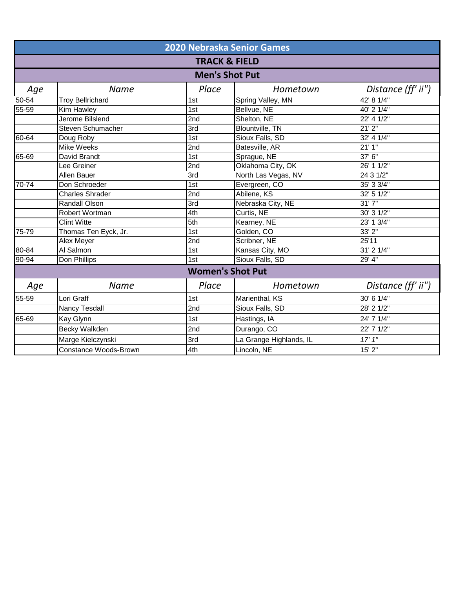|           |                                  | <b>2020 Nebraska Senior Games</b> |                         |                    |  |  |
|-----------|----------------------------------|-----------------------------------|-------------------------|--------------------|--|--|
|           | <b>TRACK &amp; FIELD</b>         |                                   |                         |                    |  |  |
|           |                                  | <b>Men's Shot Put</b>             |                         |                    |  |  |
| Age       | Place<br><b>Name</b><br>Hometown |                                   |                         | Distance (ff' ii") |  |  |
| $50 - 54$ | <b>Troy Bellrichard</b>          | 1st                               | Spring Valley, MN       | 42' 8 1/4"         |  |  |
| 55-59     | Kim Hawley                       | 1st                               | Bellvue, NE             | 40' 2 1/4"         |  |  |
|           | Jerome Bilslend                  | 2nd                               | Shelton, NE             | 22' 4 1/2"         |  |  |
|           | <b>Steven Schumacher</b>         | $\overline{3rd}$                  | <b>Blountville, TN</b>  | 21'2''             |  |  |
| 60-64     | Doug Roby                        | 1st                               | Sioux Falls, SD         | 32' 4 1/4"         |  |  |
|           | <b>Mike Weeks</b>                | 2nd                               | Batesville, AR          | 21'1''             |  |  |
| $65 - 69$ | David Brandt                     | 1st                               | Sprague, NE             | 37' 6"             |  |  |
|           | Lee Greiner                      | 2nd                               | Oklahoma City, OK       | 26' 11/2"          |  |  |
|           | <b>Allen Bauer</b>               | 3rd                               | North Las Vegas, NV     | 24 3 1/2"          |  |  |
| $70-74$   | Don Schroeder                    | $\overline{1st}$                  | Evergreen, CO           | 35' 3 3/4"         |  |  |
|           | <b>Charles Shrader</b>           | 2nd                               | Abilene, KS             | 32' 51/2"          |  |  |
|           | <b>Randall Olson</b>             | $\overline{3rd}$                  | Nebraska City, NE       | 31'7''             |  |  |
|           | <b>Robert Wortman</b>            | 4th                               | Curtis, NE              | 30' 3 1/2"         |  |  |
|           | <b>Clint Witte</b>               | 5th                               | Kearney, NE             | 23' 13/4"          |  |  |
| $75 - 79$ | Thomas Ten Eyck, Jr.             | 1st                               | Golden, CO              | 33'2''             |  |  |
|           | <b>Alex Meyer</b>                | 2nd                               | Scribner, NE            | 25'11              |  |  |
| 80-84     | Al Salmon                        | 1st                               | Kansas City, MO         | $31'$ 2 $1/4"$     |  |  |
| 90-94     | Don Phillips                     | 1st                               | Sioux Falls, SD         | 29' 4"             |  |  |
|           |                                  | <b>Women's Shot Put</b>           |                         |                    |  |  |
| Age       | <b>Name</b>                      | Place                             | Hometown                | Distance (ff' ii") |  |  |
| 55-59     | Lori Graff                       | 1st                               | Marienthal, KS          | 30' 6 1/4"         |  |  |
|           | <b>Nancy Tesdall</b>             | 2nd                               | Sioux Falls, SD         | 28' 2 1/2"         |  |  |
| 65-69     | Kay Glynn                        | 1st                               | Hastings, IA            | 24' 7' 1/4"        |  |  |
|           | Becky Walkden                    | 2nd                               | Durango, CO             | 22' 7 1/2"         |  |  |
|           | Marge Kielczynski                | 3rd                               | La Grange Highlands, IL | 17'1''             |  |  |
|           | <b>Constance Woods-Brown</b>     | 4th                               | Lincoln, NE             | 15' 2"             |  |  |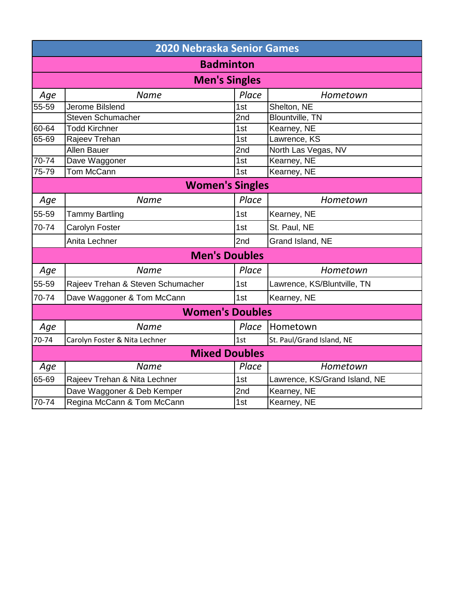|                        | <b>2020 Nebraska Senior Games</b> |       |                               |  |  |  |
|------------------------|-----------------------------------|-------|-------------------------------|--|--|--|
|                        | <b>Badminton</b>                  |       |                               |  |  |  |
|                        | <b>Men's Singles</b>              |       |                               |  |  |  |
| Age                    | <b>Name</b>                       | Place | Hometown                      |  |  |  |
| $55 - 59$              | <b>Jerome Bilslend</b>            | 1st   | Shelton, NE                   |  |  |  |
|                        | <b>Steven Schumacher</b>          | 2nd   | Blountville, TN               |  |  |  |
| 60-64                  | <b>Todd Kirchner</b>              | 1st   | Kearney, NE                   |  |  |  |
| 65-69                  | Rajeev Trehan                     | 1st   | Lawrence, KS                  |  |  |  |
|                        | <b>Allen Bauer</b>                | 2nd   | North Las Vegas, NV           |  |  |  |
| 70-74                  | Dave Waggoner                     | 1st   | Kearney, NE                   |  |  |  |
| 75-79                  | Tom McCann                        | 1st   | Kearney, NE                   |  |  |  |
| <b>Women's Singles</b> |                                   |       |                               |  |  |  |
| Age                    | <b>Name</b>                       | Place | Hometown                      |  |  |  |
| 55-59                  | <b>Tammy Bartling</b>             | 1st   | Kearney, NE                   |  |  |  |
| 70-74                  | Carolyn Foster                    | 1st   | St. Paul, NE                  |  |  |  |
|                        | Anita Lechner                     | 2nd   | Grand Island, NE              |  |  |  |
|                        | <b>Men's Doubles</b>              |       |                               |  |  |  |
| Age                    | <b>Name</b>                       | Place | Hometown                      |  |  |  |
| 55-59                  | Rajeev Trehan & Steven Schumacher | 1st   | Lawrence, KS/Bluntville, TN   |  |  |  |
| 70-74                  | Dave Waggoner & Tom McCann        | 1st   | Kearney, NE                   |  |  |  |
|                        | <b>Women's Doubles</b>            |       |                               |  |  |  |
| Age                    | <b>Name</b>                       | Place | Hometown                      |  |  |  |
| 70-74                  | Carolyn Foster & Nita Lechner     | 1st   | St. Paul/Grand Island, NE     |  |  |  |
|                        | <b>Mixed Doubles</b>              |       |                               |  |  |  |
| Age                    | <b>Name</b>                       | Place | Hometown                      |  |  |  |
| 65-69                  | Rajeev Trehan & Nita Lechner      | 1st   | Lawrence, KS/Grand Island, NE |  |  |  |
|                        | Dave Waggoner & Deb Kemper        | 2nd   | Kearney, NE                   |  |  |  |
| 70-74                  | Regina McCann & Tom McCann        | 1st   | Kearney, NE                   |  |  |  |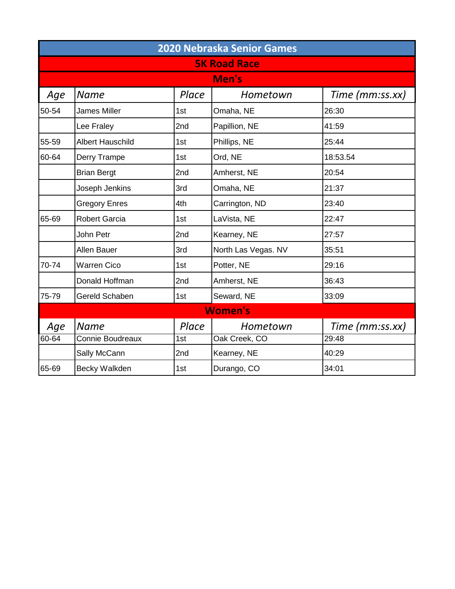| <b>2020 Nebraska Senior Games</b> |                         |       |                     |                 |  |
|-----------------------------------|-------------------------|-------|---------------------|-----------------|--|
|                                   |                         |       | <b>5K Road Race</b> |                 |  |
|                                   |                         |       | Men's               |                 |  |
| Age                               | <b>Name</b>             | Place | Hometown            | Time (mm:ss.xx) |  |
| 50-54                             | <b>James Miller</b>     | 1st   | Omaha, NE           | 26:30           |  |
|                                   | Lee Fraley              | 2nd   | Papillion, NE       | 41:59           |  |
| 55-59                             | <b>Albert Hauschild</b> | 1st   | Phillips, NE        | 25:44           |  |
| 60-64                             | Derry Trampe            | 1st   | Ord, NE             | 18:53.54        |  |
|                                   | <b>Brian Bergt</b>      | 2nd   | Amherst, NE         | 20:54           |  |
|                                   | Joseph Jenkins          | 3rd   | Omaha, NE           | 21:37           |  |
|                                   | <b>Gregory Enres</b>    | 4th   | Carrington, ND      | 23:40           |  |
| 65-69                             | <b>Robert Garcia</b>    | 1st   | LaVista, NE         | 22:47           |  |
|                                   | John Petr               | 2nd   | Kearney, NE         | 27:57           |  |
|                                   | <b>Allen Bauer</b>      | 3rd   | North Las Vegas. NV | 35:51           |  |
| 70-74                             | <b>Warren Cico</b>      | 1st   | Potter, NE          | 29:16           |  |
|                                   | Donald Hoffman          | 2nd   | Amherst, NE         | 36:43           |  |
| 75-79                             | Gereld Schaben          | 1st   | Seward, NE          | 33:09           |  |
|                                   |                         |       | <b>Women's</b>      |                 |  |
| Age                               | <b>Name</b>             | Place | Hometown            | Time (mm:ss.xx) |  |
| $60 - 64$                         | Connie Boudreaux        | 1st   | Oak Creek, CO       | 29:48           |  |
|                                   | Sally McCann            | 2nd   | Kearney, NE         | 40:29           |  |
| 65-69                             | Becky Walkden           | 1st   | Durango, CO         | 34:01           |  |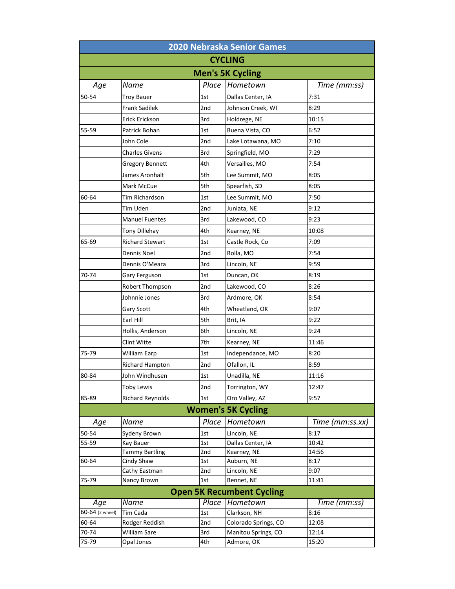| <b>2020 Nebraska Senior Games</b> |                                   |            |                                   |                 |
|-----------------------------------|-----------------------------------|------------|-----------------------------------|-----------------|
|                                   |                                   |            | <b>CYCLING</b>                    |                 |
|                                   |                                   |            | <b>Men's 5K Cycling</b>           |                 |
| Age                               | Name                              | Place      | Hometown                          | Time (mm:ss)    |
| 50-54                             | <b>Troy Bauer</b>                 | 1st        | Dallas Center, IA                 | 7:31            |
|                                   | <b>Frank Sadilek</b>              | 2nd        | Johnson Creek, WI                 | 8:29            |
|                                   | Erick Erickson                    | 3rd        | Holdrege, NE                      | 10:15           |
| 55-59                             | Patrick Bohan                     | 1st        | Buena Vista, CO                   | 6:52            |
|                                   | John Cole                         | 2nd        | Lake Lotawana, MO                 | 7:10            |
|                                   | <b>Charles Givens</b>             | 3rd        | Springfield, MO                   | 7:29            |
|                                   | <b>Gregory Bennett</b>            | 4th        | Versailles, MO                    | 7:54            |
|                                   | James Aronhalt                    | 5th        | Lee Summit, MO                    | 8:05            |
|                                   | Mark McCue                        | 5th        | Spearfish, SD                     | 8:05            |
| 60-64                             | Tim Richardson                    | 1st        | Lee Summit, MO                    | 7:50            |
|                                   | <b>Tim Uden</b>                   | 2nd        | Juniata, NE                       | 9:12            |
|                                   | <b>Manuel Fuentes</b>             | 3rd        | Lakewood, CO                      | 9:23            |
|                                   | <b>Tony Dillehay</b>              | 4th        | Kearney, NE                       | 10:08           |
| 65-69                             | <b>Richard Stewart</b>            | 1st        | Castle Rock, Co                   | 7:09            |
|                                   | Dennis Noel                       | 2nd        | Rolla, MO                         | 7:54            |
|                                   | Dennis O'Meara                    | 3rd        | Lincoln, NE                       | 9:59            |
| 70-74                             | Gary Ferguson                     | 1st        | Duncan, OK                        | 8:19            |
|                                   | Robert Thompson                   | 2nd        | Lakewood, CO                      | 8:26            |
|                                   | Johnnie Jones                     | 3rd        | Ardmore, OK                       | 8:54            |
|                                   | Gary Scott                        | 4th        | Wheatland, OK                     | 9:07            |
|                                   | Earl Hill                         | 5th        | Brit, IA                          | 9:22            |
|                                   | Hollis, Anderson                  | 6th        | Lincoln, NE                       | 9:24            |
|                                   | Clint Witte                       | 7th        | Kearney, NE                       | 11:46           |
| 75-79                             | William Earp                      | 1st        | Independance, MO                  | 8:20            |
|                                   | Richard Hampton                   | 2nd        | Ofallon, IL                       | 8:59            |
| 80-84                             | John Windhusen                    | 1st        | Unadilla, NE                      | 11:16           |
|                                   | <b>Toby Lewis</b>                 | 2nd        | Torrington, WY                    | 12:47           |
| 85-89                             | <b>Richard Reynolds</b>           | 1st        | Oro Valley, AZ                    | 9:57            |
|                                   |                                   |            | <b>Women's 5K Cycling</b>         |                 |
| Age                               | Name                              | Place      | Hometown                          | Time (mm:ss.xx) |
| 50-54                             | Sydeny Brown                      | 1st        | Lincoln, NE                       | 8:17            |
| 55-59                             | Kay Bauer                         | 1st        | Dallas Center, IA                 | 10:42           |
|                                   | <b>Tammy Bartling</b>             | 2nd        | Kearney, NE                       | 14:56           |
| 60-64                             | Cindy Shaw                        | 1st        | Auburn, NE                        | 8:17            |
|                                   | Cathy Eastman                     | 2nd        | Lincoln, NE                       | 9:07            |
| 75-79                             | Nancy Brown                       | 1st        | Bennet, NE                        | 11:41           |
|                                   |                                   |            | <b>Open 5K Recumbent Cycling</b>  |                 |
| Age                               | Name                              | Place      | Hometown                          | Time (mm:ss)    |
| 60-64 (2 wheel)                   | <b>Tim Cada</b>                   | 1st        | Clarkson, NH                      | 8:16            |
| 60-64                             | Rodger Reddish                    | 2nd        | Colorado Springs, CO              | 12:08           |
| 70-74<br>75-79                    | <b>William Sare</b><br>Opal Jones | 3rd<br>4th | Manitou Springs, CO<br>Admore, OK | 12:14<br>15:20  |
|                                   |                                   |            |                                   |                 |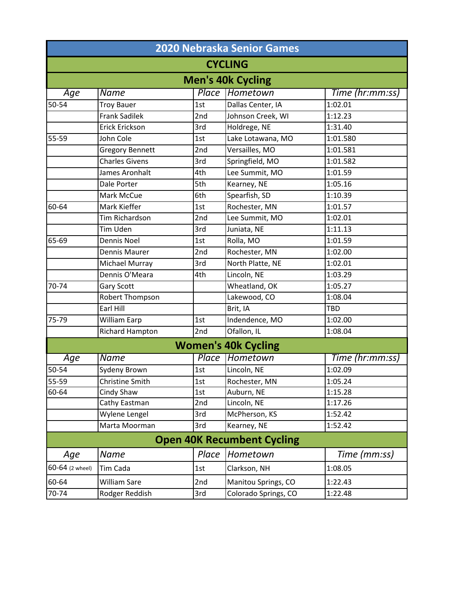| <b>2020 Nebraska Senior Games</b> |                          |       |                                   |                      |  |  |
|-----------------------------------|--------------------------|-------|-----------------------------------|----------------------|--|--|
|                                   | <b>CYCLING</b>           |       |                                   |                      |  |  |
|                                   | <b>Men's 40k Cycling</b> |       |                                   |                      |  |  |
| Age                               | Name                     | Place | Hometown                          | Time (hr:mm:ss)      |  |  |
| 50-54                             | <b>Troy Bauer</b>        | 1st   | Dallas Center, IA                 | 1:02.01              |  |  |
|                                   | <b>Frank Sadilek</b>     | 2nd   | Johnson Creek, WI                 | 1:12.23              |  |  |
|                                   | <b>Erick Erickson</b>    | 3rd   | Holdrege, NE                      | 1:31.40              |  |  |
| 55-59                             | John Cole                | 1st   | Lake Lotawana, MO                 | 1:01.580             |  |  |
|                                   | <b>Gregory Bennett</b>   | 2nd   | Versailles, MO                    | 1:01.581             |  |  |
|                                   | <b>Charles Givens</b>    | 3rd   | Springfield, MO                   | 1:01.582             |  |  |
|                                   | James Aronhalt           | 4th   | Lee Summit, MO                    | 1:01.59              |  |  |
|                                   | Dale Porter              | 5th   | Kearney, NE                       | 1:05.16              |  |  |
|                                   | Mark McCue               | 6th   | Spearfish, SD                     | 1:10.39              |  |  |
| 60-64                             | Mark Kieffer             | 1st   | Rochester, MN                     | 1:01.57              |  |  |
|                                   | <b>Tim Richardson</b>    | 2nd   | Lee Summit, MO                    | 1:02.01              |  |  |
|                                   | Tim Uden                 | 3rd   | Juniata, NE                       | 1:11.13              |  |  |
| 65-69                             | <b>Dennis Noel</b>       | 1st   | Rolla, MO                         | 1:01.59              |  |  |
|                                   | Dennis Maurer            | 2nd   | Rochester, MN                     | 1:02.00              |  |  |
|                                   | Michael Murray           | 3rd   | North Platte, NE                  | 1:02.01              |  |  |
|                                   | Dennis O'Meara           | 4th   | Lincoln, NE                       | $\overline{1:}03.29$ |  |  |
| 70-74                             | Gary Scott               |       | Wheatland, OK                     | 1:05.27              |  |  |
|                                   | Robert Thompson          |       | Lakewood, CO                      | 1:08.04              |  |  |
|                                   | Earl Hill                |       | Brit, IA                          | <b>TBD</b>           |  |  |
| 75-79                             | <b>William Earp</b>      | 1st   | Indendence, MO                    | 1:02.00              |  |  |
|                                   | <b>Richard Hampton</b>   | 2nd   | Ofallon, IL                       | 1:08.04              |  |  |
|                                   |                          |       | <b>Women's 40k Cycling</b>        |                      |  |  |
| Age                               | <b>Name</b>              | Place | <b>Hometown</b>                   | Time (hr:mm:ss)      |  |  |
| 50-54                             | Sydeny Brown             | 1st   | Lincoln, NE                       | 1:02.09              |  |  |
| 55-59                             | Christine Smith          | 1st   | Rochester, MN                     | 1:05.24              |  |  |
| 60-64                             | Cindy Shaw               | 1st   | Auburn, NE                        | 1:15.28              |  |  |
|                                   | Cathy Eastman            | 2nd   | Lincoln, NE                       | 1:17.26              |  |  |
|                                   | Wylene Lengel            | 3rd   | McPherson, KS                     | 1:52.42              |  |  |
|                                   | Marta Moorman            | 3rd   | Kearney, NE                       | 1:52.42              |  |  |
|                                   |                          |       | <b>Open 40K Recumbent Cycling</b> |                      |  |  |
| Age                               | Name                     | Place | Hometown                          | Time (mm:ss)         |  |  |
| 60-64 (2 wheel)                   | Tim Cada                 | 1st   | Clarkson, NH                      | 1:08.05              |  |  |
| 60-64                             | William Sare             | 2nd   | Manitou Springs, CO               | 1:22.43              |  |  |
| 70-74                             | Rodger Reddish           | 3rd   | Colorado Springs, CO              | 1:22.48              |  |  |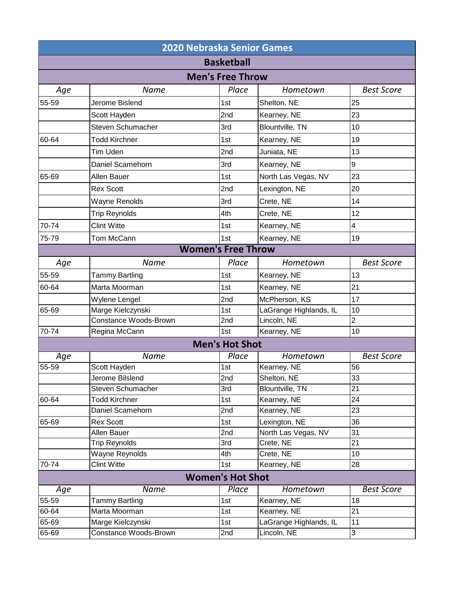|       | <b>2020 Nebraska Senior Games</b> |                           |                        |                   |
|-------|-----------------------------------|---------------------------|------------------------|-------------------|
|       |                                   | <b>Basketball</b>         |                        |                   |
|       |                                   | <b>Men's Free Throw</b>   |                        |                   |
| Age   | <b>Name</b>                       | Place                     | Hometown               | <b>Best Score</b> |
| 55-59 | Jerome Bislend                    | 1st                       | Shelton, NE            | 25                |
|       | Scott Hayden                      | 2nd                       | Kearney, NE            | 23                |
|       | Steven Schumacher                 | 3rd                       | Blountville, TN        | 10                |
| 60-64 | <b>Todd Kirchner</b>              | 1st                       | Kearney, NE            | 19                |
|       | Tim Uden                          | 2nd                       | Juniata, NE            | 13                |
|       | Daniel Scamehorn                  | 3rd                       | Kearney, NE            | 9                 |
| 65-69 | Allen Bauer                       | 1st                       | North Las Vegas, NV    | 23                |
|       | <b>Rex Scott</b>                  | 2nd                       | Lexington, NE          | 20                |
|       |                                   | 3rd                       |                        | 14                |
|       | Wayne Renolds                     |                           | Crete, NE              |                   |
|       | <b>Trip Reynolds</b>              | 4th                       | Crete, NE              | 12                |
| 70-74 | <b>Clint Witte</b>                | 1st                       | Kearney, NE            | 4                 |
| 75-79 | Tom McCann                        | 1st                       | Kearney, NE            | 19                |
|       |                                   | <b>Women's Free Throw</b> |                        |                   |
| Age   | <b>Name</b>                       | Place                     | Hometown               | <b>Best Score</b> |
| 55-59 | Tammy Bartling                    | 1st                       | Kearney, NE            | 13                |
| 60-64 | Marta Moorman                     | 1st                       | Kearney, NE            | 21                |
|       | Wylene Lengel                     | 2nd                       | McPherson, KS          | 17                |
| 65-69 | Marge Kielczynski                 | 1st                       | LaGrange Highlands, IL | 10                |
|       | <b>Constance Woods-Brown</b>      | 2nd                       | Lincoln, NE            | $\overline{2}$    |
| 70-74 | Regina McCann                     | 1st                       | Kearney, NE            | 10                |
|       |                                   | <b>Men's Hot Shot</b>     |                        |                   |
| Age   | <b>Name</b>                       | Place                     | Hometown               | <b>Best Score</b> |
| 55-59 | Scott Hayden                      | 1st                       | Kearney, NE            | 56                |
|       | Jerome Bilslend                   | 2nd                       | Shelton, NE            | 33                |
|       | Steven Schumacher                 | 3rd                       | Blountville, TN        | 21                |
| 60-64 | <b>Todd Kirchner</b>              | 1st                       | Kearney, NE            | 24                |
|       | Daniel Scamehorn                  | 2nd                       | Kearney, NE            | 23                |
| 65-69 | <b>Rex Scott</b>                  | 1st                       | Lexington, NE          | 36                |
|       | Allen Bauer                       | 2nd                       | North Las Vegas, NV    | 31                |
|       | <b>Trip Reynolds</b>              | 3rd                       | Crete, NE              | 21                |
|       | <b>Wayne Reynolds</b>             | 4th                       | Crete, NE              | 10                |
| 70-74 | <b>Clint Witte</b>                | 1st                       | Kearney, NE            | 28                |
|       |                                   | <b>Women's Hot Shot</b>   |                        |                   |
| Age   | Name                              | Place                     | Hometown               | <b>Best Score</b> |
| 55-59 | Tammy Bartling                    | 1st                       | Kearney, NE            | 18                |
| 60-64 | Marta Moorman                     | 1st                       | Kearney, NE            | 21                |
| 65-69 | Marge Kielczynski                 | 1st                       | LaGrange Highlands, IL | 11                |
| 65-69 | Constance Woods-Brown             | 2nd                       | Lincoln, NE            | 3                 |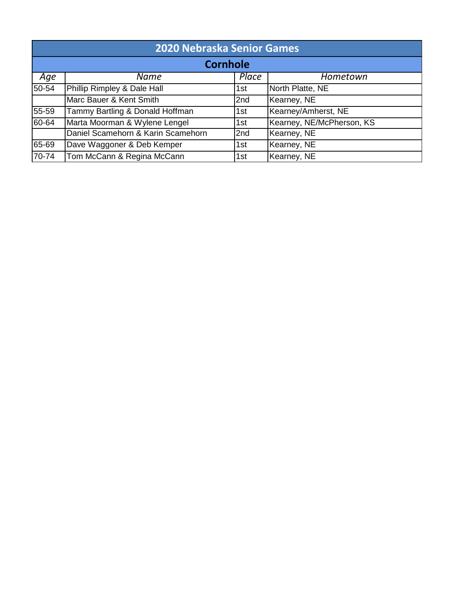| <b>2020 Nebraska Senior Games</b> |                                    |       |                           |  |
|-----------------------------------|------------------------------------|-------|---------------------------|--|
| <b>Cornhole</b>                   |                                    |       |                           |  |
| Age                               | Name                               | Place | Hometown                  |  |
| 50-54                             | Phillip Rimpley & Dale Hall        | 1st   | North Platte, NE          |  |
|                                   | Marc Bauer & Kent Smith            | 2nd   | Kearney, NE               |  |
| 55-59                             | Tammy Bartling & Donald Hoffman    | 1st   | Kearney/Amherst, NE       |  |
| 60-64                             | Marta Moorman & Wylene Lengel      | 1st   | Kearney, NE/McPherson, KS |  |
|                                   | Daniel Scamehorn & Karin Scamehorn | 2nd   | Kearney, NE               |  |
| 65-69                             | Dave Waggoner & Deb Kemper         | 1st   | Kearney, NE               |  |
| 70-74                             | Tom McCann & Regina McCann         | 1st   | Kearney, NE               |  |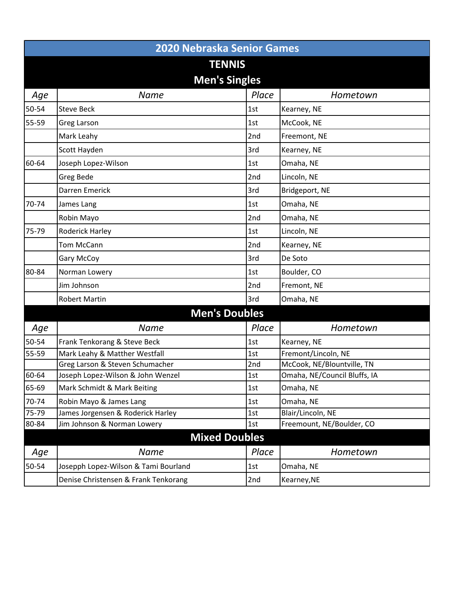|       | <b>2020 Nebraska Senior Games</b>    |       |                              |  |  |  |
|-------|--------------------------------------|-------|------------------------------|--|--|--|
|       | <b>TENNIS</b>                        |       |                              |  |  |  |
|       | <b>Men's Singles</b>                 |       |                              |  |  |  |
| Age   | <b>Name</b>                          | Place | Hometown                     |  |  |  |
| 50-54 | <b>Steve Beck</b>                    | 1st   | Kearney, NE                  |  |  |  |
| 55-59 | Greg Larson                          | 1st   | McCook, NE                   |  |  |  |
|       | Mark Leahy                           | 2nd   | Freemont, NE                 |  |  |  |
|       | Scott Hayden                         | 3rd   | Kearney, NE                  |  |  |  |
| 60-64 | Joseph Lopez-Wilson                  | 1st   | Omaha, NE                    |  |  |  |
|       | Greg Bede                            | 2nd   | Lincoln, NE                  |  |  |  |
|       | <b>Darren Emerick</b>                | 3rd   | Bridgeport, NE               |  |  |  |
| 70-74 | James Lang                           | 1st   | Omaha, NE                    |  |  |  |
|       | Robin Mayo                           | 2nd   | Omaha, NE                    |  |  |  |
| 75-79 | Roderick Harley                      | 1st   | Lincoln, NE                  |  |  |  |
|       |                                      |       |                              |  |  |  |
|       | <b>Tom McCann</b>                    | 2nd   | Kearney, NE                  |  |  |  |
|       | Gary McCoy                           | 3rd   | De Soto                      |  |  |  |
| 80-84 | Norman Lowery                        | 1st   | Boulder, CO                  |  |  |  |
|       | Jim Johnson                          | 2nd   | Fremont, NE                  |  |  |  |
|       | <b>Robert Martin</b>                 | 3rd   | Omaha, NE                    |  |  |  |
|       | <b>Men's Doubles</b>                 |       |                              |  |  |  |
| Age   | <b>Name</b>                          | Place | Hometown                     |  |  |  |
| 50-54 | Frank Tenkorang & Steve Beck         | 1st   | Kearney, NE                  |  |  |  |
| 55-59 | Mark Leahy & Matther Westfall        | 1st   | Fremont/Lincoln, NE          |  |  |  |
|       | Greg Larson & Steven Schumacher      | 2nd   | McCook, NE/Blountville, TN   |  |  |  |
| 60-64 | Joseph Lopez-Wilson & John Wenzel    | 1st   | Omaha, NE/Council Bluffs, IA |  |  |  |
| 65-69 | Mark Schmidt & Mark Beiting          | 1st   | Omaha, NE                    |  |  |  |
| 70-74 | Robin Mayo & James Lang              | 1st   | Omaha, NE                    |  |  |  |
| 75-79 | James Jorgensen & Roderick Harley    | 1st   | Blair/Lincoln, NE            |  |  |  |
| 80-84 | Jim Johnson & Norman Lowery          | 1st   | Freemount, NE/Boulder, CO    |  |  |  |
|       | <b>Mixed Doubles</b>                 |       |                              |  |  |  |
| Age   | <b>Name</b>                          | Place | Hometown                     |  |  |  |
| 50-54 | Josepph Lopez-Wilson & Tami Bourland | 1st   | Omaha, NE                    |  |  |  |
|       | Denise Christensen & Frank Tenkorang | 2nd   | Kearney, NE                  |  |  |  |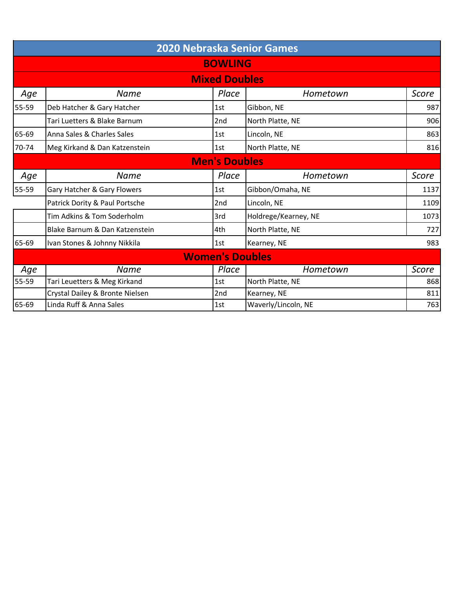|       | <b>2020 Nebraska Senior Games</b> |                        |                      |       |  |  |
|-------|-----------------------------------|------------------------|----------------------|-------|--|--|
|       | <b>BOWLING</b>                    |                        |                      |       |  |  |
|       | <b>Mixed Doubles</b>              |                        |                      |       |  |  |
| Age   | Name                              | Place                  | Hometown             | Score |  |  |
| 55-59 | Deb Hatcher & Gary Hatcher        | 1st                    | Gibbon, NE           | 987   |  |  |
|       | Tari Luetters & Blake Barnum      | 2 <sub>nd</sub>        | North Platte, NE     | 906   |  |  |
| 65-69 | Anna Sales & Charles Sales        | 1st                    | Lincoln, NE          | 863   |  |  |
| 70-74 | Meg Kirkand & Dan Katzenstein     | 1st                    | North Platte, NE     | 816   |  |  |
|       |                                   | <b>Men's Doubles</b>   |                      |       |  |  |
| Age   | Name                              | Place                  | Hometown             | Score |  |  |
| 55-59 | Gary Hatcher & Gary Flowers       | 1st                    | Gibbon/Omaha, NE     | 1137  |  |  |
|       | Patrick Dority & Paul Portsche    | 2nd                    | Lincoln, NE          | 1109  |  |  |
|       | Tim Adkins & Tom Soderholm        | 3rd                    | Holdrege/Kearney, NE | 1073  |  |  |
|       | Blake Barnum & Dan Katzenstein    | 4th                    | North Platte, NE     | 727   |  |  |
| 65-69 | Ivan Stones & Johnny Nikkila      | 1st                    | Kearney, NE          | 983   |  |  |
|       |                                   | <b>Women's Doubles</b> |                      |       |  |  |
| Age   | Name                              | Place                  | Hometown             | Score |  |  |
| 55-59 | Tari Leuetters & Meg Kirkand      | 1st                    | North Platte, NE     | 868   |  |  |
|       | Crystal Dailey & Bronte Nielsen   | 2nd                    | Kearney, NE          | 811   |  |  |
| 65-69 | Linda Ruff & Anna Sales           | 1st                    | Waverly/Lincoln, NE  | 763   |  |  |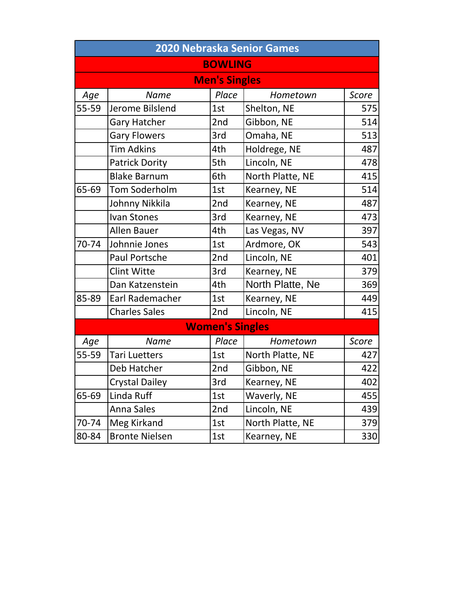|       | 2020 Nebraska Senior Games |                        |                  |       |  |  |
|-------|----------------------------|------------------------|------------------|-------|--|--|
|       |                            | <b>BOWLING</b>         |                  |       |  |  |
|       |                            | <b>Men's Singles</b>   |                  |       |  |  |
| Age   | <b>Name</b>                | Place                  | Hometown         | Score |  |  |
| 55-59 | Jerome Bilslend            | 1st                    | Shelton, NE      | 575   |  |  |
|       | <b>Gary Hatcher</b>        | 2nd                    | Gibbon, NE       | 514   |  |  |
|       | <b>Gary Flowers</b>        | 3rd                    | Omaha, NE        | 513   |  |  |
|       | <b>Tim Adkins</b>          | 4th                    | Holdrege, NE     | 487   |  |  |
|       | <b>Patrick Dority</b>      | 5th                    | Lincoln, NE      | 478   |  |  |
|       | <b>Blake Barnum</b>        | 6th                    | North Platte, NE | 415   |  |  |
| 65-69 | <b>Tom Soderholm</b>       | 1st                    | Kearney, NE      | 514   |  |  |
|       | Johnny Nikkila             | 2 <sub>nd</sub>        | Kearney, NE      | 487   |  |  |
|       | <b>Ivan Stones</b>         | 3rd                    | Kearney, NE      | 473   |  |  |
|       | <b>Allen Bauer</b>         | 4th                    | Las Vegas, NV    | 397   |  |  |
| 70-74 | Johnnie Jones              | 1st                    | Ardmore, OK      | 543   |  |  |
|       | Paul Portsche              | 2nd                    | Lincoln, NE      | 401   |  |  |
|       | <b>Clint Witte</b>         | 3rd                    | Kearney, NE      | 379   |  |  |
|       | Dan Katzenstein            | 4th                    | North Platte, Ne | 369   |  |  |
| 85-89 | Earl Rademacher            | 1st                    | Kearney, NE      | 449   |  |  |
|       | <b>Charles Sales</b>       | 2nd                    | Lincoln, NE      | 415   |  |  |
|       |                            | <b>Women's Singles</b> |                  |       |  |  |
| Age   | <b>Name</b>                | Place                  | Hometown         | Score |  |  |
| 55-59 | <b>Tari Luetters</b>       | 1st                    | North Platte, NE | 427   |  |  |
|       | Deb Hatcher                | 2nd                    | Gibbon, NE       | 422   |  |  |
|       | <b>Crystal Dailey</b>      | 3rd                    | Kearney, NE      | 402   |  |  |
| 65-69 | Linda Ruff                 | 1st                    | Waverly, NE      | 455   |  |  |
|       | <b>Anna Sales</b>          | 2nd                    | Lincoln, NE      | 439   |  |  |
| 70-74 | Meg Kirkand                | 1st                    | North Platte, NE | 379   |  |  |
| 80-84 | <b>Bronte Nielsen</b>      | 1st                    | Kearney, NE      | 330   |  |  |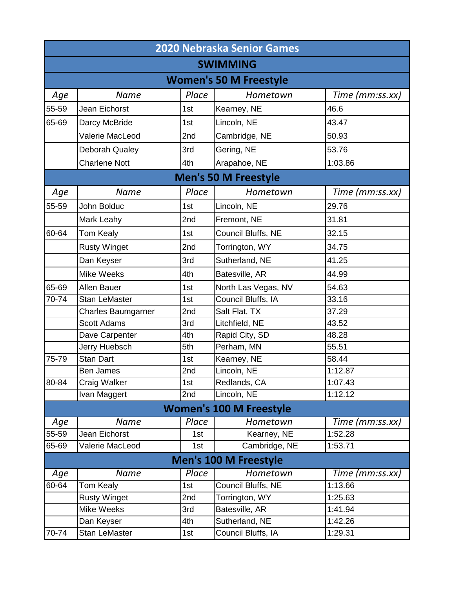|           |                               |       | <b>2020 Nebraska Senior Games</b> |                 |  |  |
|-----------|-------------------------------|-------|-----------------------------------|-----------------|--|--|
|           | <b>SWIMMING</b>               |       |                                   |                 |  |  |
|           | <b>Women's 50 M Freestyle</b> |       |                                   |                 |  |  |
| Age       | Name                          | Place | Hometown                          | Time (mm:ss.xx) |  |  |
| 55-59     | Jean Eichorst                 | 1st   | Kearney, NE                       | 46.6            |  |  |
| 65-69     | Darcy McBride                 | 1st   | Lincoln, NE                       | 43.47           |  |  |
|           | Valerie MacLeod               | 2nd   | Cambridge, NE                     | 50.93           |  |  |
|           | Deborah Qualey                | 3rd   | Gering, NE                        | 53.76           |  |  |
|           | <b>Charlene Nott</b>          | 4th   | Arapahoe, NE                      | 1:03.86         |  |  |
|           |                               |       | <b>Men's 50 M Freestyle</b>       |                 |  |  |
| Age       | <b>Name</b>                   | Place | Hometown                          | Time (mm:ss.xx) |  |  |
| 55-59     | John Bolduc                   | 1st   | Lincoln, NE                       | 29.76           |  |  |
|           | Mark Leahy                    | 2nd   | Fremont, NE                       | 31.81           |  |  |
| 60-64     | <b>Tom Kealy</b>              | 1st   | Council Bluffs, NE                | 32.15           |  |  |
|           | <b>Rusty Winget</b>           | 2nd   | Torrington, WY                    | 34.75           |  |  |
|           | Dan Keyser                    | 3rd   | Sutherland, NE                    | 41.25           |  |  |
|           | <b>Mike Weeks</b>             | 4th   | Batesville, AR                    | 44.99           |  |  |
| 65-69     | Allen Bauer                   | 1st   | North Las Vegas, NV               | 54.63           |  |  |
| 70-74     | <b>Stan LeMaster</b>          | 1st   | Council Bluffs, IA                | 33.16           |  |  |
|           | <b>Charles Baumgarner</b>     | 2nd   | Salt Flat, TX                     | 37.29           |  |  |
|           | <b>Scott Adams</b>            | 3rd   | Litchfield, NE                    | 43.52           |  |  |
|           | Dave Carpenter                | 4th   | Rapid City, SD                    | 48.28           |  |  |
|           | Jerry Huebsch                 | 5th   | Perham, MN                        | 55.51           |  |  |
| 75-79     | <b>Stan Dart</b>              | 1st   | Kearney, NE                       | 58.44           |  |  |
|           | <b>Ben James</b>              | 2nd   | Lincoln, NE                       | 1:12.87         |  |  |
| 80-84     | Craig Walker                  | 1st   | Redlands, CA                      | 1:07.43         |  |  |
|           | Ivan Maggert                  | 2nd   | Lincoln, NE                       | 1:12.12         |  |  |
|           |                               |       | <b>Women's 100 M Freestyle</b>    |                 |  |  |
| Age       | <b>Name</b>                   | Place | Hometown                          | Time (mm:ss.xx) |  |  |
| 55-59     | Jean Eichorst                 | 1st   | Kearney, NE                       | 1:52.28         |  |  |
| $65 - 69$ | Valerie MacLeod               | 1st   | Cambridge, NE                     | 1:53.71         |  |  |
|           |                               |       | <b>Men's 100 M Freestyle</b>      |                 |  |  |
| Age       | <b>Name</b>                   | Place | Hometown                          | Time (mm:ss.xx) |  |  |
| 60-64     | <b>Tom Kealy</b>              | 1st   | Council Bluffs, NE                | 1:13.66         |  |  |
|           | <b>Rusty Winget</b>           | 2nd   | Torrington, WY                    | 1:25.63         |  |  |
|           | Mike Weeks                    | 3rd   | Batesville, AR                    | 1:41.94         |  |  |
|           | Dan Keyser                    | 4th   | Sutherland, NE                    | 1:42.26         |  |  |
| 70-74     | Stan LeMaster                 | 1st   | Council Bluffs, IA                | 1:29.31         |  |  |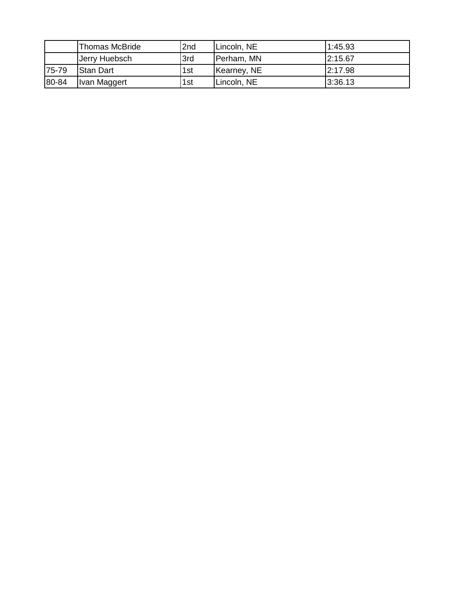|       | Thomas McBride   | 2nd | Lincoln, NE | 1:45.93 |
|-------|------------------|-----|-------------|---------|
|       | Jerry Huebsch    | 3rd | Perham, MN  | 2:15.67 |
| 75-79 | <b>Stan Dart</b> | 1st | Kearney, NE | 2:17.98 |
| 80-84 | Ivan Maggert     | 1st | Lincoln, NE | 3:36.13 |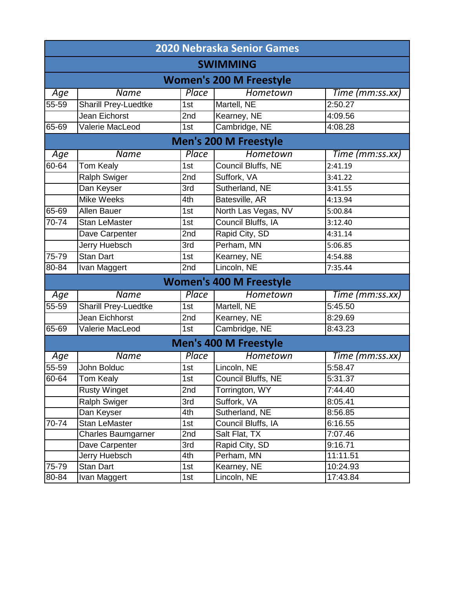|           | <b>2020 Nebraska Senior Games</b> |       |                                |                 |  |  |  |
|-----------|-----------------------------------|-------|--------------------------------|-----------------|--|--|--|
|           | <b>SWIMMING</b>                   |       |                                |                 |  |  |  |
|           | <b>Women's 200 M Freestyle</b>    |       |                                |                 |  |  |  |
| Age       | <b>Name</b>                       | Place | Hometown                       | Time (mm:ss.xx) |  |  |  |
| 55-59     | <b>Sharill Prey-Luedtke</b>       | 1st   | Martell, NE                    | 2:50.27         |  |  |  |
|           | Jean Eichorst                     | 2nd   | Kearney, NE                    | 4:09.56         |  |  |  |
| 65-69     | Valerie MacLeod                   | 1st   | Cambridge, NE                  | 4:08.28         |  |  |  |
|           |                                   |       | <b>Men's 200 M Freestyle</b>   |                 |  |  |  |
| Age       | <b>Name</b>                       | Place | Hometown                       | Time (mm:ss.xx) |  |  |  |
| $60 - 64$ | <b>Tom Kealy</b>                  | 1st   | Council Bluffs, NE             | 2:41.19         |  |  |  |
|           | <b>Ralph Swiger</b>               | 2nd   | Suffork, VA                    | 3:41.22         |  |  |  |
|           | Dan Keyser                        | 3rd   | Sutherland, NE                 | 3:41.55         |  |  |  |
|           | <b>Mike Weeks</b>                 | 4th   | Batesville, AR                 | 4:13.94         |  |  |  |
| 65-69     | Allen Bauer                       | 1st   | North Las Vegas, NV            | 5:00.84         |  |  |  |
| $70 - 74$ | <b>Stan LeMaster</b>              | 1st   | Council Bluffs, IA             | 3:12.40         |  |  |  |
|           | Dave Carpenter                    | 2nd   | Rapid City, SD<br>4:31.14      |                 |  |  |  |
|           | <b>Jerry Huebsch</b>              | 3rd   | Perham, MN<br>5:06.85          |                 |  |  |  |
| $75 - 79$ | <b>Stan Dart</b>                  | 1st   | Kearney, NE                    | 4:54.88         |  |  |  |
| $80 - 84$ | Ivan Maggert                      | 2nd   | Lincoln, NE                    | 7:35.44         |  |  |  |
|           |                                   |       | <b>Women's 400 M Freestyle</b> |                 |  |  |  |
| Age       | <b>Name</b>                       | Place | Hometown                       | Time (mm:ss.xx) |  |  |  |
| 55-59     | <b>Sharill Prey-Luedtke</b>       | 1st   | Martell, NE                    | 5:45.50         |  |  |  |
|           | <b>Jean Eichhorst</b>             | 2nd   | Kearney, NE                    | 8:29.69         |  |  |  |
| 65-69     | Valerie MacLeod                   | 1st   | Cambridge, NE                  | 8:43.23         |  |  |  |
|           |                                   |       | <b>Men's 400 M Freestyle</b>   |                 |  |  |  |
| Age       | <b>Name</b>                       | Place | Hometown                       | Time (mm:ss.xx) |  |  |  |
| $55 - 59$ | John Bolduc                       | 1st   | Lincoln, NE                    | 5:58.47         |  |  |  |
| 60-64     | <b>Tom Kealy</b>                  | 1st   | Council Bluffs, NE             | 5:31.37         |  |  |  |
|           | <b>Rusty Winget</b>               | 2nd   | Torrington, WY                 | 7:44.40         |  |  |  |
|           | Ralph Swiger                      | 3rd   | Suffork, VA                    | 8:05.41         |  |  |  |
|           | Dan Keyser                        | 4th   | Sutherland, NE                 | 8:56.85         |  |  |  |
| 70-74     | <b>Stan LeMaster</b>              | 1st   | Council Bluffs, IA             | 6:16.55         |  |  |  |
|           | <b>Charles Baumgarner</b>         | 2nd   | Salt Flat, TX                  | 7:07.46         |  |  |  |
|           | Dave Carpenter                    | 3rd   | Rapid City, SD                 | 9:16.71         |  |  |  |
|           | Jerry Huebsch                     | 4th   | Perham, MN                     | 11:11.51        |  |  |  |
| 75-79     | <b>Stan Dart</b>                  | 1st   | Kearney, NE                    | 10:24.93        |  |  |  |
| 80-84     | Ivan Maggert                      | 1st   | Lincoln, NE<br>17:43.84        |                 |  |  |  |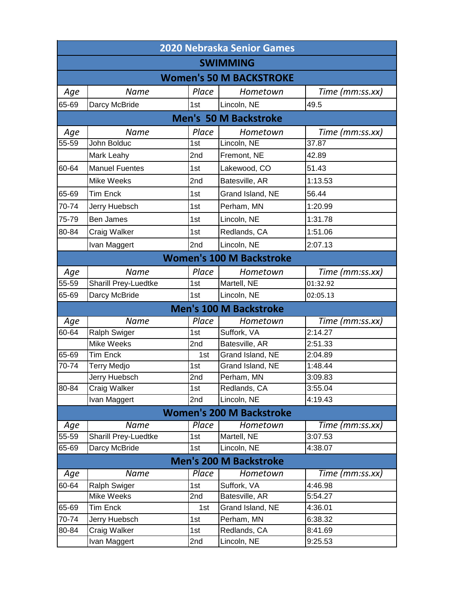|       | <b>2020 Nebraska Senior Games</b>                                                                                                                                                                                                                                                                                                                                                                                                                                                                                                                                                                                                                 |       |                                 |                 |  |  |
|-------|---------------------------------------------------------------------------------------------------------------------------------------------------------------------------------------------------------------------------------------------------------------------------------------------------------------------------------------------------------------------------------------------------------------------------------------------------------------------------------------------------------------------------------------------------------------------------------------------------------------------------------------------------|-------|---------------------------------|-----------------|--|--|
|       |                                                                                                                                                                                                                                                                                                                                                                                                                                                                                                                                                                                                                                                   |       | <b>SWIMMING</b>                 |                 |  |  |
|       |                                                                                                                                                                                                                                                                                                                                                                                                                                                                                                                                                                                                                                                   |       | <b>Women's 50 M BACKSTROKE</b>  |                 |  |  |
| Age   | <b>Name</b>                                                                                                                                                                                                                                                                                                                                                                                                                                                                                                                                                                                                                                       | Place | Hometown                        | Time (mm:ss.xx) |  |  |
| 65-69 | Darcy McBride                                                                                                                                                                                                                                                                                                                                                                                                                                                                                                                                                                                                                                     | 1st   | Lincoln, NE                     | 49.5            |  |  |
|       | <b>Men's 50 M Backstroke</b>                                                                                                                                                                                                                                                                                                                                                                                                                                                                                                                                                                                                                      |       |                                 |                 |  |  |
| Age   | <b>Name</b>                                                                                                                                                                                                                                                                                                                                                                                                                                                                                                                                                                                                                                       | Place | Hometown                        | Time (mm:ss.xx) |  |  |
| 55-59 | John Bolduc                                                                                                                                                                                                                                                                                                                                                                                                                                                                                                                                                                                                                                       | 1st   | Lincoln, NE                     | 37.87           |  |  |
|       | Mark Leahy                                                                                                                                                                                                                                                                                                                                                                                                                                                                                                                                                                                                                                        | 2nd   | Fremont, NE                     | 42.89           |  |  |
| 60-64 | <b>Manuel Fuentes</b>                                                                                                                                                                                                                                                                                                                                                                                                                                                                                                                                                                                                                             | 1st   | Lakewood, CO                    | 51.43           |  |  |
|       | <b>Mike Weeks</b>                                                                                                                                                                                                                                                                                                                                                                                                                                                                                                                                                                                                                                 | 2nd   | Batesville, AR                  | 1:13.53         |  |  |
| 65-69 | <b>Tim Enck</b>                                                                                                                                                                                                                                                                                                                                                                                                                                                                                                                                                                                                                                   | 1st   | Grand Island, NE                | 56.44           |  |  |
| 70-74 | Jerry Huebsch                                                                                                                                                                                                                                                                                                                                                                                                                                                                                                                                                                                                                                     | 1st   | Perham, MN                      | 1:20.99         |  |  |
| 75-79 | <b>Ben James</b>                                                                                                                                                                                                                                                                                                                                                                                                                                                                                                                                                                                                                                  | 1st   | Lincoln, NE                     | 1:31.78         |  |  |
| 80-84 | Craig Walker                                                                                                                                                                                                                                                                                                                                                                                                                                                                                                                                                                                                                                      | 1st   | Redlands, CA                    | 1:51.06         |  |  |
|       | Ivan Maggert                                                                                                                                                                                                                                                                                                                                                                                                                                                                                                                                                                                                                                      | 2nd   | Lincoln, NE                     | 2:07.13         |  |  |
|       |                                                                                                                                                                                                                                                                                                                                                                                                                                                                                                                                                                                                                                                   |       | <b>Women's 100 M Backstroke</b> |                 |  |  |
| Age   | Name                                                                                                                                                                                                                                                                                                                                                                                                                                                                                                                                                                                                                                              | Place | Hometown                        | Time (mm:ss.xx) |  |  |
| 55-59 | Sharill Prey-Luedtke                                                                                                                                                                                                                                                                                                                                                                                                                                                                                                                                                                                                                              | 1st   | Martell, NE                     | 01:32.92        |  |  |
| 65-69 | Darcy McBride                                                                                                                                                                                                                                                                                                                                                                                                                                                                                                                                                                                                                                     | 1st   | Lincoln, NE                     | 02:05.13        |  |  |
|       |                                                                                                                                                                                                                                                                                                                                                                                                                                                                                                                                                                                                                                                   |       | <b>Men's 100 M Backstroke</b>   |                 |  |  |
| Age   | <b>Name</b>                                                                                                                                                                                                                                                                                                                                                                                                                                                                                                                                                                                                                                       | Place | Hometown                        | Time (mm:ss.xx) |  |  |
| 60-64 | <b>Ralph Swiger</b>                                                                                                                                                                                                                                                                                                                                                                                                                                                                                                                                                                                                                               | 1st   | Suffork, VA                     | 2:14.27         |  |  |
|       | Mike Weeks                                                                                                                                                                                                                                                                                                                                                                                                                                                                                                                                                                                                                                        | 2nd   | Batesville, AR                  | 2:51.33         |  |  |
| 65-69 | <b>Tim Enck</b>                                                                                                                                                                                                                                                                                                                                                                                                                                                                                                                                                                                                                                   | 1st   | Grand Island, NE                | 2:04.89         |  |  |
| 70-74 | <b>Terry Medjo</b>                                                                                                                                                                                                                                                                                                                                                                                                                                                                                                                                                                                                                                | 1st   | Grand Island, NE                | 1:48.44         |  |  |
|       | Jerry Huebsch                                                                                                                                                                                                                                                                                                                                                                                                                                                                                                                                                                                                                                     | 2nd   | Perham, MN                      | 3:09.83         |  |  |
| 80-84 | Craig Walker                                                                                                                                                                                                                                                                                                                                                                                                                                                                                                                                                                                                                                      | 1st   | Redlands, CA                    | 3:55.04         |  |  |
|       | Ivan Maggert                                                                                                                                                                                                                                                                                                                                                                                                                                                                                                                                                                                                                                      | 2nd   | Lincoln, NE                     | 4:19.43         |  |  |
|       |                                                                                                                                                                                                                                                                                                                                                                                                                                                                                                                                                                                                                                                   |       | <b>Women's 200 M Backstroke</b> |                 |  |  |
| Age   | Name                                                                                                                                                                                                                                                                                                                                                                                                                                                                                                                                                                                                                                              | Place | Hometown                        | Time (mm:ss.xx) |  |  |
| 55-59 | Sharill Prey-Luedtke                                                                                                                                                                                                                                                                                                                                                                                                                                                                                                                                                                                                                              | 1st   | Martell, NE                     | 3:07.53         |  |  |
| 65-69 | Darcy McBride                                                                                                                                                                                                                                                                                                                                                                                                                                                                                                                                                                                                                                     | 1st   | Lincoln, NE                     | 4:38.07         |  |  |
|       |                                                                                                                                                                                                                                                                                                                                                                                                                                                                                                                                                                                                                                                   |       | <b>Men's 200 M Backstroke</b>   |                 |  |  |
| Age   | $\overline{\textcolor{blue} \textcolor{blue}{\textcolor{blue} \textcolor{blue}{\textcolor{blue} \textcolor{blue} \textcolor{blue} \textcolor{blue} \textcolor{blue} \textcolor{blue} \textcolor{blue} \textcolor{blue} \textcolor{blue} \textcolor{blue} \textcolor{blue} \textcolor{blue} \textcolor{blue} \textcolor{blue} \textcolor{blue} \textcolor{blue} \textcolor{blue} \textcolor{blue} \textcolor{blue} \textcolor{blue} \textcolor{blue} \textcolor{blue} \textcolor{blue} \textcolor{blue} \textcolor{blue} \textcolor{blue} \textcolor{blue} \textcolor{blue} \textcolor{blue} \textcolor{blue} \textcolor{blue} \textcolor{blue} \$ | Place | Hometown                        | Time (mm:ss.xx) |  |  |
| 60-64 | <b>Ralph Swiger</b>                                                                                                                                                                                                                                                                                                                                                                                                                                                                                                                                                                                                                               | 1st   | Suffork, VA                     | 4:46.98         |  |  |
|       | Mike Weeks                                                                                                                                                                                                                                                                                                                                                                                                                                                                                                                                                                                                                                        | 2nd   | Batesville, AR                  | 5:54.27         |  |  |
| 65-69 | <b>Tim Enck</b>                                                                                                                                                                                                                                                                                                                                                                                                                                                                                                                                                                                                                                   | 1st   | Grand Island, NE                | 4:36.01         |  |  |
| 70-74 | Jerry Huebsch                                                                                                                                                                                                                                                                                                                                                                                                                                                                                                                                                                                                                                     | 1st   | Perham, MN                      | 6:38.32         |  |  |
| 80-84 | Craig Walker                                                                                                                                                                                                                                                                                                                                                                                                                                                                                                                                                                                                                                      | 1st   | Redlands, CA                    | 8:41.69         |  |  |
|       | Ivan Maggert                                                                                                                                                                                                                                                                                                                                                                                                                                                                                                                                                                                                                                      | 2nd   | Lincoln, NE                     | 9:25.53         |  |  |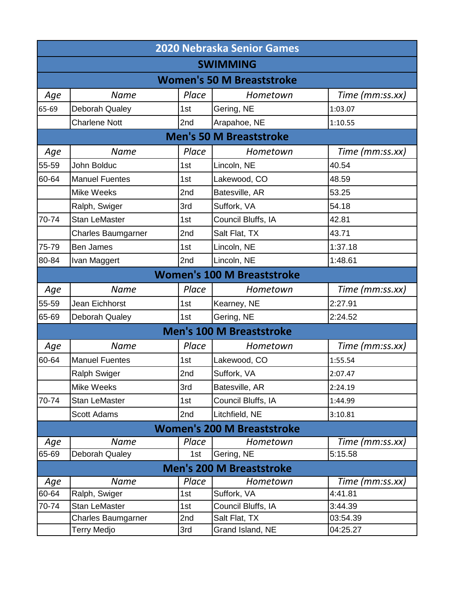|       | <b>2020 Nebraska Senior Games</b> |       |                                   |                 |  |  |
|-------|-----------------------------------|-------|-----------------------------------|-----------------|--|--|
|       | <b>SWIMMING</b>                   |       |                                   |                 |  |  |
|       |                                   |       | <b>Women's 50 M Breaststroke</b>  |                 |  |  |
| Age   | <b>Name</b>                       | Place | Hometown                          | Time (mm:ss.xx) |  |  |
| 65-69 | Deborah Qualey                    | 1st   | Gering, NE                        | 1:03.07         |  |  |
|       | <b>Charlene Nott</b>              | 2nd   | Arapahoe, NE                      | 1:10.55         |  |  |
|       | <b>Men's 50 M Breaststroke</b>    |       |                                   |                 |  |  |
| Age   | <b>Name</b>                       | Place | Hometown                          | Time (mm:ss.xx) |  |  |
| 55-59 | John Bolduc                       | 1st   | Lincoln, NE                       | 40.54           |  |  |
| 60-64 | <b>Manuel Fuentes</b>             | 1st   | Lakewood, CO                      | 48.59           |  |  |
|       | <b>Mike Weeks</b>                 | 2nd   | Batesville, AR                    | 53.25           |  |  |
|       | Ralph, Swiger                     | 3rd   | Suffork, VA                       | 54.18           |  |  |
| 70-74 | <b>Stan LeMaster</b>              | 1st   | Council Bluffs, IA                | 42.81           |  |  |
|       | <b>Charles Baumgarner</b>         | 2nd   | Salt Flat, TX                     | 43.71           |  |  |
| 75-79 | <b>Ben James</b>                  | 1st   | Lincoln, NE                       | 1:37.18         |  |  |
| 80-84 | Ivan Maggert                      | 2nd   | Lincoln, NE                       | 1:48.61         |  |  |
|       |                                   |       | <b>Women's 100 M Breaststroke</b> |                 |  |  |
| Age   | Name                              | Place | Hometown                          | Time (mm:ss.xx) |  |  |
| 55-59 | Jean Eichhorst                    | 1st   | Kearney, NE                       | 2:27.91         |  |  |
| 65-69 | Deborah Qualey                    | 1st   | Gering, NE                        | 2:24.52         |  |  |
|       |                                   |       | <b>Men's 100 M Breaststroke</b>   |                 |  |  |
| Age   | <b>Name</b>                       | Place | Hometown                          | Time (mm:ss.xx) |  |  |
| 60-64 | <b>Manuel Fuentes</b>             | 1st   | Lakewood, CO                      | 1:55.54         |  |  |
|       | <b>Ralph Swiger</b>               | 2nd   | Suffork, VA                       | 2:07.47         |  |  |
|       | Mike Weeks                        | 3rd   | Batesville, AR                    | 2:24.19         |  |  |
| 70-74 | <b>Stan LeMaster</b>              | 1st   | Council Bluffs, IA                | 1:44.99         |  |  |
|       | <b>Scott Adams</b>                | 2nd   | Litchfield, NE                    | 3:10.81         |  |  |
|       |                                   |       | <b>Women's 200 M Breaststroke</b> |                 |  |  |
| Age   | <b>Name</b>                       | Place | Hometown                          | Time (mm:ss.xx) |  |  |
| 65-69 | Deborah Qualey                    | 1st   | Gering, NE                        | 5:15.58         |  |  |
|       |                                   |       | <b>Men's 200 M Breaststroke</b>   |                 |  |  |
| Age   | <b>Name</b>                       | Place | Hometown                          | Time (mm:ss.xx) |  |  |
| 60-64 | Ralph, Swiger                     | 1st   | Suffork, VA                       | 4:41.81         |  |  |
| 70-74 | <b>Stan LeMaster</b>              | 1st   | Council Bluffs, IA                | 3:44.39         |  |  |
|       | Charles Baumgarner                | 2nd   | Salt Flat, TX                     | 03:54.39        |  |  |
|       | Terry Medjo                       | 3rd   | Grand Island, NE                  | 04:25.27        |  |  |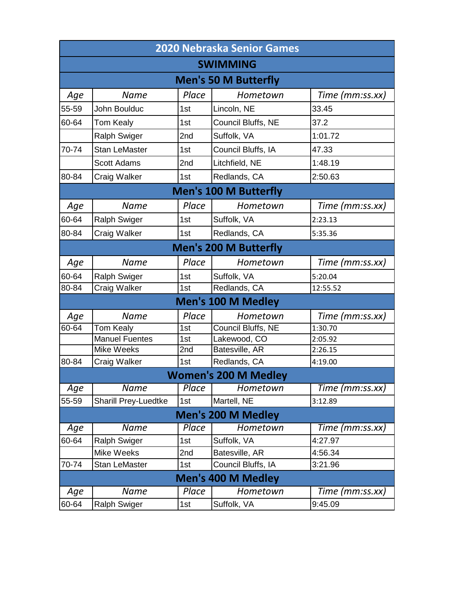| <b>2020 Nebraska Senior Games</b> |                              |       |                              |                 |  |
|-----------------------------------|------------------------------|-------|------------------------------|-----------------|--|
|                                   |                              |       | <b>SWIMMING</b>              |                 |  |
|                                   |                              |       | <b>Men's 50 M Butterfly</b>  |                 |  |
| Age                               | <b>Name</b>                  | Place | Hometown                     | Time (mm:ss.xx) |  |
| 55-59                             | John Boulduc                 | 1st   | Lincoln, NE                  | 33.45           |  |
| 60-64                             | Tom Kealy                    | 1st   | Council Bluffs, NE           | 37.2            |  |
|                                   | <b>Ralph Swiger</b>          | 2nd   | Suffolk, VA                  | 1:01.72         |  |
| 70-74                             | <b>Stan LeMaster</b>         | 1st   | Council Bluffs, IA           | 47.33           |  |
|                                   | <b>Scott Adams</b>           | 2nd   | Litchfield, NE               | 1:48.19         |  |
| 80-84                             | Craig Walker                 | 1st   | Redlands, CA                 | 2:50.63         |  |
|                                   |                              |       | <b>Men's 100 M Butterfly</b> |                 |  |
| Age                               | <b>Name</b>                  | Place | Hometown                     | Time (mm:ss.xx) |  |
| 60-64                             | <b>Ralph Swiger</b>          | 1st   | Suffolk, VA                  | 2:23.13         |  |
| 80-84                             | Craig Walker                 | 1st   | Redlands, CA                 | 5:35.36         |  |
|                                   | <b>Men's 200 M Butterfly</b> |       |                              |                 |  |
| Age                               | <b>Name</b>                  | Place | Hometown                     | Time (mm:ss.xx) |  |
| 60-64                             | <b>Ralph Swiger</b>          | 1st   | Suffolk, VA                  | 5:20.04         |  |
| 80-84                             | Craig Walker                 | 1st   | Redlands, CA                 | 12:55.52        |  |
|                                   |                              |       | <b>Men's 100 M Medley</b>    |                 |  |
| Age                               | <b>Name</b>                  | Place | Hometown                     | Time (mm:ss.xx) |  |
| 60-64                             | <b>Tom Kealy</b>             | 1st   | Council Bluffs, NE           | 1:30.70         |  |
|                                   | <b>Manuel Fuentes</b>        | 1st   | Lakewood, CO                 | 2:05.92         |  |
|                                   | <b>Mike Weeks</b>            | 2nd   | Batesville, AR               | 2:26.15         |  |
| 80-84                             | Craig Walker                 | 1st   | Redlands, CA                 | 4:19.00         |  |
|                                   |                              |       | <b>Women's 200 M Medley</b>  |                 |  |
| Age                               | Name                         | Place | Hometown                     | Time (mm:ss.xx) |  |
| 55-59                             | Sharill Prey-Luedtke         | 1st   | Martell, NE                  | 3:12.89         |  |
|                                   |                              |       | <b>Men's 200 M Medley</b>    |                 |  |
| Age                               | <b>Name</b>                  | Place | Hometown                     | Time (mm:ss.xx) |  |
| 60-64                             | <b>Ralph Swiger</b>          | 1st   | Suffolk, VA                  | 4:27.97         |  |
|                                   | Mike Weeks                   | 2nd   | Batesville, AR               | 4:56.34         |  |
| 70-74                             | <b>Stan LeMaster</b>         | 1st   | Council Bluffs, IA           | 3:21.96         |  |
|                                   |                              |       | <b>Men's 400 M Medley</b>    |                 |  |
| Age                               | <b>Name</b>                  | Place | Hometown                     | Time (mm:ss.xx) |  |
| 60-64                             | <b>Ralph Swiger</b>          | 1st   | Suffolk, VA                  | 9:45.09         |  |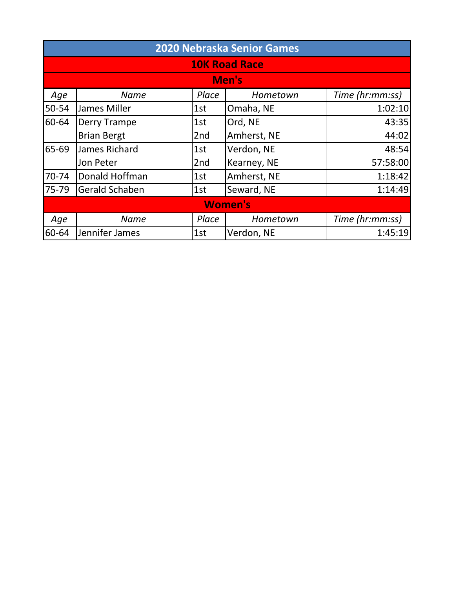|       | 2020 Nebraska Senior Games |       |                |                 |  |  |
|-------|----------------------------|-------|----------------|-----------------|--|--|
|       | <b>10K Road Race</b>       |       |                |                 |  |  |
|       | Men's                      |       |                |                 |  |  |
| Age   | <b>Name</b>                | Place | Hometown       | Time (hr:mm:ss) |  |  |
| 50-54 | James Miller               | 1st   | Omaha, NE      | 1:02:10         |  |  |
| 60-64 | <b>Derry Trampe</b>        | 1st   | Ord, NE        | 43:35           |  |  |
|       | <b>Brian Bergt</b>         | 2nd   | Amherst, NE    | 44:02           |  |  |
| 65-69 | James Richard              | 1st   | Verdon, NE     | 48:54           |  |  |
|       | Jon Peter                  | 2nd   | Kearney, NE    | 57:58:00        |  |  |
| 70-74 | Donald Hoffman             | 1st   | Amherst, NE    | 1:18:42         |  |  |
| 75-79 | <b>Gerald Schaben</b>      | 1st   | Seward, NE     | 1:14:49         |  |  |
|       |                            |       | <b>Women's</b> |                 |  |  |
| Age   | <b>Name</b>                | Place | Hometown       | Time (hr:mm:ss) |  |  |
| 60-64 | Jennifer James             | 1st   | Verdon, NE     | 1:45:19         |  |  |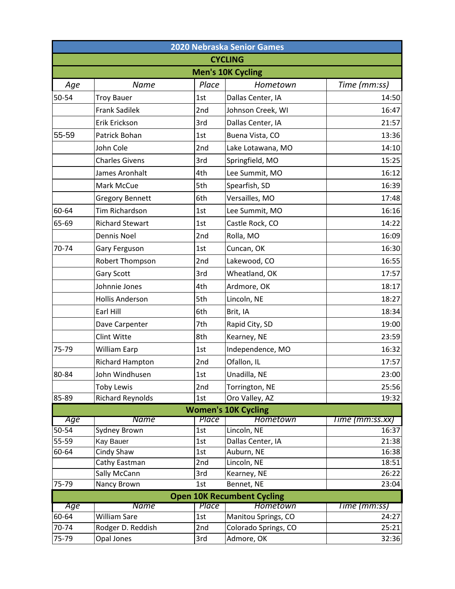| 2020 Nebraska Senior Games |                           |            |                                   |                 |
|----------------------------|---------------------------|------------|-----------------------------------|-----------------|
|                            |                           |            | <b>CYCLING</b>                    |                 |
|                            |                           |            | <b>Men's 10K Cycling</b>          |                 |
| Age                        | Name                      | Place      | Hometown                          | Time (mm:ss)    |
| 50-54                      | <b>Troy Bauer</b>         | 1st        | Dallas Center, IA                 | 14:50           |
|                            | <b>Frank Sadilek</b>      | 2nd        | Johnson Creek, WI                 | 16:47           |
|                            | Erik Erickson             | 3rd        | Dallas Center, IA                 | 21:57           |
| 55-59                      | Patrick Bohan             | 1st        | Buena Vista, CO                   | 13:36           |
|                            | John Cole                 | 2nd        | Lake Lotawana, MO                 | 14:10           |
|                            | <b>Charles Givens</b>     | 3rd        | Springfield, MO                   | 15:25           |
|                            | James Aronhalt            | 4th        | Lee Summit, MO                    | 16:12           |
|                            | Mark McCue                | 5th        | Spearfish, SD                     | 16:39           |
|                            | <b>Gregory Bennett</b>    | 6th        | Versailles, MO                    | 17:48           |
| 60-64                      | Tim Richardson            | 1st        | Lee Summit, MO                    | 16:16           |
| 65-69                      | <b>Richard Stewart</b>    | 1st        | Castle Rock, CO                   | 14:22           |
|                            | Dennis Noel               | 2nd        | Rolla, MO                         | 16:09           |
| 70-74                      | Gary Ferguson             | 1st        | Cuncan, OK                        | 16:30           |
|                            | Robert Thompson           | 2nd        | Lakewood, CO                      | 16:55           |
|                            | <b>Gary Scott</b>         | 3rd        | Wheatland, OK                     | 17:57           |
|                            | Johnnie Jones             | 4th        | Ardmore, OK                       | 18:17           |
|                            | <b>Hollis Anderson</b>    | 5th        | Lincoln, NE                       | 18:27           |
|                            | Earl Hill                 | 6th        | Brit, IA                          | 18:34           |
|                            | Dave Carpenter            | 7th        | Rapid City, SD                    | 19:00           |
|                            | <b>Clint Witte</b>        | 8th        | Kearney, NE                       | 23:59           |
| 75-79                      | William Earp              | 1st        | Independence, MO                  | 16:32           |
|                            | Richard Hampton           | 2nd        | Ofallon, IL                       | 17:57           |
| 80-84                      | John Windhusen            | 1st        | Unadilla, NE                      | 23:00           |
|                            | <b>Toby Lewis</b>         | 2nd        | Torrington, NE                    | 25:56           |
| 85-89                      | <b>Richard Reynolds</b>   | 1st        | Oro Valley, AZ                    | 19:32           |
|                            |                           |            | <b>Women's 10K Cycling</b>        |                 |
| Age                        | <b>Name</b>               | Place      | <b>Hometown</b>                   | Time (mm:ss.xx) |
| 50-54<br>55-59             | Sydney Brown<br>Kay Bauer | 1st<br>1st | Lincoln, NE                       | 16:37<br>21:38  |
| 60-64                      | Cindy Shaw                | 1st        | Dallas Center, IA<br>Auburn, NE   |                 |
|                            | Cathy Eastman             | 2nd        | Lincoln, NE                       | 16:38<br>18:51  |
|                            | Sally McCann              | 3rd        | Kearney, NE                       | 26:22           |
| 75-79                      | Nancy Brown               | 1st        | Bennet, NE                        | 23:04           |
|                            |                           |            | <b>Open 10K Recumbent Cycling</b> |                 |
| Age                        | <b>Name</b>               | Place      | Hometown                          | Time (mm:ss)    |
| 60-64                      | William Sare              | 1st        | Manitou Springs, CO               | 24:27           |
| 70-74                      | Rodger D. Reddish         | 2nd        | Colorado Springs, CO              | 25:21           |
| 75-79                      | Opal Jones                | 3rd        | Admore, OK                        | 32:36           |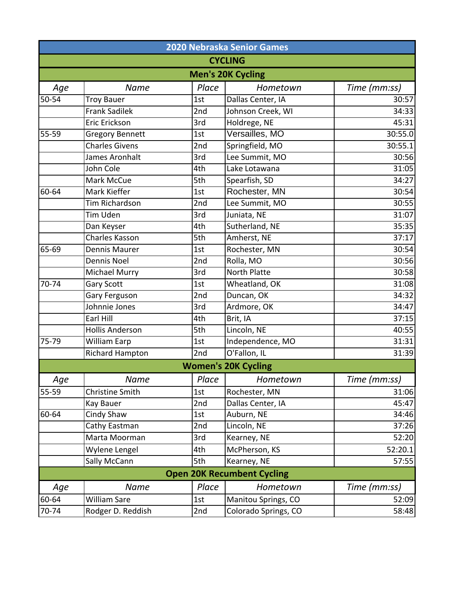|       |                        |       | <b>2020 Nebraska Senior Games</b> |              |
|-------|------------------------|-------|-----------------------------------|--------------|
|       |                        |       | <b>CYCLING</b>                    |              |
|       |                        |       | <b>Men's 20K Cycling</b>          |              |
| Age   | <b>Name</b>            | Place | Hometown                          | Time (mm:ss) |
| 50-54 | <b>Troy Bauer</b>      | 1st   | Dallas Center, IA                 | 30:57        |
|       | <b>Frank Sadilek</b>   | 2nd   | Johnson Creek, WI                 | 34:33        |
|       | Eric Erickson          | 3rd   | Holdrege, NE                      | 45:31        |
| 55-59 | <b>Gregory Bennett</b> | 1st   | Versailles, MO                    | 30:55.0      |
|       | <b>Charles Givens</b>  | 2nd   | Springfield, MO                   | 30:55.1      |
|       | James Aronhalt         | 3rd   | Lee Summit, MO                    | 30:56        |
|       | John Cole              | 4th   | Lake Lotawana                     | 31:05        |
|       | Mark McCue             | 5th   | Spearfish, SD                     | 34:27        |
| 60-64 | Mark Kieffer           | 1st   | Rochester, MN                     | 30:54        |
|       | <b>Tim Richardson</b>  | 2nd   | Lee Summit, MO                    | 30:55        |
|       | Tim Uden               | 3rd   | Juniata, NE                       | 31:07        |
|       | Dan Keyser             | 4th   | Sutherland, NE                    | 35:35        |
|       | Charles Kasson         | 5th   | Amherst, NE                       | 37:17        |
| 65-69 | <b>Dennis Maurer</b>   | 1st   | Rochester, MN                     | 30:54        |
|       | Dennis Noel            | 2nd   | Rolla, MO                         | 30:56        |
|       | Michael Murry          | 3rd   | <b>North Platte</b>               | 30:58        |
| 70-74 | <b>Gary Scott</b>      | 1st   | Wheatland, OK                     | 31:08        |
|       | Gary Ferguson          | 2nd   | Duncan, OK                        | 34:32        |
|       | Johnnie Jones          | 3rd   | Ardmore, OK                       | 34:47        |
|       | Earl Hill              | 4th   | Brit, IA                          | 37:15        |
|       | <b>Hollis Anderson</b> | 5th   | Lincoln, NE                       | 40:55        |
| 75-79 | <b>William Earp</b>    | 1st   | Independence, MO                  | 31:31        |
|       | Richard Hampton        | 2nd   | O'Fallon, IL                      | 31:39        |
|       |                        |       | <b>Women's 20K Cycling</b>        |              |
| Age   | <b>Name</b>            | Place | Hometown                          | Time (mm:ss) |
| 55-59 | Christine Smith        | 1st   | Rochester, MN                     | 31:06        |
|       | Kay Bauer              | 2nd   | Dallas Center, IA                 | 45:47        |
| 60-64 | Cindy Shaw             | 1st   | Auburn, NE                        | 34:46        |
|       | Cathy Eastman          | 2nd   | Lincoln, NE                       | 37:26        |
|       | Marta Moorman          | 3rd   | Kearney, NE                       | 52:20        |
|       | Wylene Lengel          | 4th   | McPherson, KS                     | 52:20.1      |
|       | Sally McCann           | 5th   | Kearney, NE                       | 57:55        |
|       |                        |       | <b>Open 20K Recumbent Cycling</b> |              |
| Age   | <b>Name</b>            | Place | Hometown                          | Time (mm:ss) |
| 60-64 | William Sare           | 1st   | Manitou Springs, CO               | 52:09        |
| 70-74 | Rodger D. Reddish      | 2nd   | Colorado Springs, CO              | 58:48        |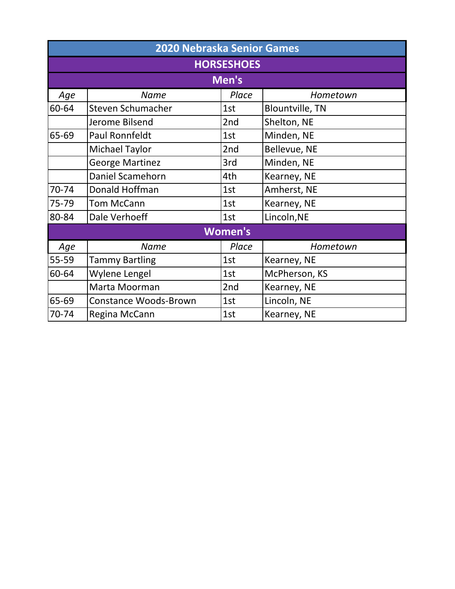|       | <b>2020 Nebraska Senior Games</b> |                |                        |  |  |
|-------|-----------------------------------|----------------|------------------------|--|--|
|       | <b>HORSESHOES</b>                 |                |                        |  |  |
|       |                                   | Men's          |                        |  |  |
| Age   | <b>Name</b>                       | Place          | Hometown               |  |  |
| 60-64 | Steven Schumacher                 | 1st            | <b>Blountville, TN</b> |  |  |
|       | Jerome Bilsend                    | 2nd            | Shelton, NE            |  |  |
| 65-69 | <b>Paul Ronnfeldt</b>             | 1st            | Minden, NE             |  |  |
|       | <b>Michael Taylor</b>             | 2nd            | Bellevue, NE           |  |  |
|       | <b>George Martinez</b>            | 3rd            | Minden, NE             |  |  |
|       | Daniel Scamehorn                  | 4th            | Kearney, NE            |  |  |
| 70-74 | Donald Hoffman                    | 1st            | Amherst, NE            |  |  |
| 75-79 | <b>Tom McCann</b>                 | 1st            | Kearney, NE            |  |  |
| 80-84 | Dale Verhoeff                     | 1st            | Lincoln, NE            |  |  |
|       |                                   | <b>Women's</b> |                        |  |  |
| Age   | <b>Name</b>                       | Place          | Hometown               |  |  |
| 55-59 | <b>Tammy Bartling</b>             | 1st            | Kearney, NE            |  |  |
| 60-64 | Wylene Lengel                     | 1st            | McPherson, KS          |  |  |
|       | Marta Moorman                     | 2nd            | Kearney, NE            |  |  |
| 65-69 | <b>Constance Woods-Brown</b>      | 1st            | Lincoln, NE            |  |  |
| 70-74 | Regina McCann                     | 1st            | Kearney, NE            |  |  |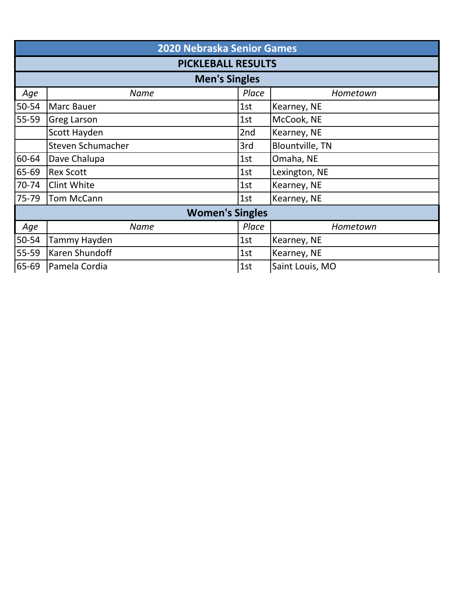|       | 2020 Nebraska Senior Games |       |                        |  |  |
|-------|----------------------------|-------|------------------------|--|--|
|       | <b>PICKLEBALL RESULTS</b>  |       |                        |  |  |
|       | <b>Men's Singles</b>       |       |                        |  |  |
| Age   | <b>Name</b>                | Place | Hometown               |  |  |
| 50-54 | <b>Marc Bauer</b>          | 1st   | Kearney, NE            |  |  |
| 55-59 | <b>Greg Larson</b>         | 1st   | McCook, NE             |  |  |
|       | Scott Hayden               | 2nd   | Kearney, NE            |  |  |
|       | Steven Schumacher          | 3rd   | <b>Blountville, TN</b> |  |  |
| 60-64 | Dave Chalupa               | 1st   | Omaha, NE              |  |  |
| 65-69 | <b>Rex Scott</b>           | 1st   | Lexington, NE          |  |  |
| 70-74 | <b>Clint White</b>         | 1st   | Kearney, NE            |  |  |
| 75-79 | <b>Tom McCann</b>          | 1st   | Kearney, NE            |  |  |
|       | <b>Women's Singles</b>     |       |                        |  |  |
| Age   | <b>Name</b>                | Place | Hometown               |  |  |
| 50-54 | Tammy Hayden               | 1st   | Kearney, NE            |  |  |
| 55-59 | Karen Shundoff             | 1st   | Kearney, NE            |  |  |
| 65-69 | Pamela Cordia              | 1st   | Saint Louis, MO        |  |  |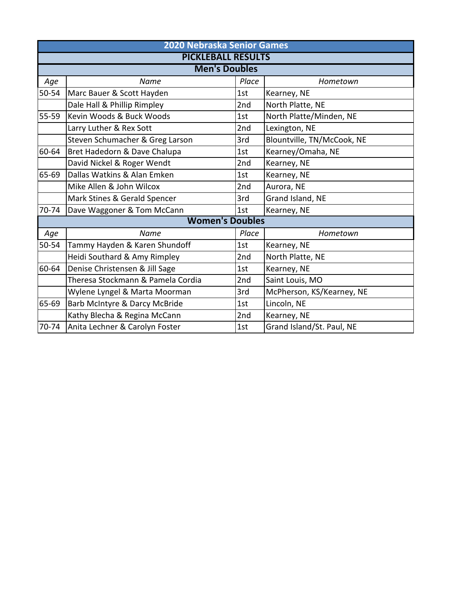|           | <b>2020 Nebraska Senior Games</b> |       |                            |  |  |
|-----------|-----------------------------------|-------|----------------------------|--|--|
|           | <b>PICKLEBALL RESULTS</b>         |       |                            |  |  |
|           | <b>Men's Doubles</b>              |       |                            |  |  |
| Age       | Name                              | Place | Hometown                   |  |  |
| $50 - 54$ | Marc Bauer & Scott Hayden         | 1st   | Kearney, NE                |  |  |
|           | Dale Hall & Phillip Rimpley       | 2nd   | North Platte, NE           |  |  |
| 55-59     | Kevin Woods & Buck Woods          | 1st   | North Platte/Minden, NE    |  |  |
|           | Larry Luther & Rex Sott           | 2nd   | Lexington, NE              |  |  |
|           | Steven Schumacher & Greg Larson   | 3rd   | Blountville, TN/McCook, NE |  |  |
| 60-64     | Bret Hadedorn & Dave Chalupa      | 1st   | Kearney/Omaha, NE          |  |  |
|           | David Nickel & Roger Wendt        | 2nd   | Kearney, NE                |  |  |
| 65-69     | Dallas Watkins & Alan Emken       | 1st   | Kearney, NE                |  |  |
|           | Mike Allen & John Wilcox          | 2nd   | Aurora, NE                 |  |  |
|           | Mark Stines & Gerald Spencer      | 3rd   | Grand Island, NE           |  |  |
| 70-74     | Dave Waggoner & Tom McCann        | 1st   | Kearney, NE                |  |  |
|           | <b>Women's Doubles</b>            |       |                            |  |  |
| Age       | Name                              | Place | Hometown                   |  |  |
| 50-54     | Tammy Hayden & Karen Shundoff     | 1st   | Kearney, NE                |  |  |
|           | Heidi Southard & Amy Rimpley      | 2nd   | North Platte, NE           |  |  |
| 60-64     | Denise Christensen & Jill Sage    | 1st   | Kearney, NE                |  |  |
|           | Theresa Stockmann & Pamela Cordia | 2nd   | Saint Louis, MO            |  |  |
|           | Wylene Lyngel & Marta Moorman     | 3rd   | McPherson, KS/Kearney, NE  |  |  |
| 65-69     | Barb McIntyre & Darcy McBride     | 1st   | Lincoln, NE                |  |  |
|           | Kathy Blecha & Regina McCann      | 2nd   | Kearney, NE                |  |  |
| 70-74     | Anita Lechner & Carolyn Foster    | 1st   | Grand Island/St. Paul, NE  |  |  |